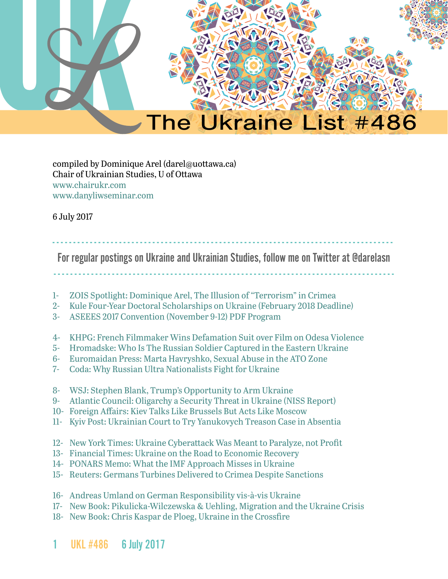

#### compiled by Dominique Arel (darel@uottawa.ca) Chair of Ukrainian Studies, U of Ottawa www.chairukr.com www.danyliwseminar.com

6 July 2017

<span id="page-0-0"></span>- - - - - - - - - - - - - - - - - - - - - - - - - - - - - - - - - - - - - - - - - - - - - - - - - - - - - - - - - - - - - - - - - - - - - - - - - - - - - - - - - - For regular postings on Ukraine and Ukrainian Studies, follow me on Twitter at @darelasn

- - - - - - - - - - - - - - - - - - - - - - - - - - - - - - - - - - - - - - - - - - - - - - - - - - - - - - - - - - - - - - - - - - - - - - - - - - - - - - - - - -

- 1- ZOIS Spotlight: Dominique Arel, The Illusion of "Terrorism" in Crimea
- 2- [Kule Four-Year Doctoral Scholarships on Ukraine \(February 2018 Deadline\)](#page-3-0)
- 3- [ASEEES 2017 Convention \(November 9-12\) PDF Program](#page-4-0)
- 4- [KHPG: French Filmmaker Wins Defamation Suit over Film on Odesa Violence](#page-4-1)
- 5- [Hromadske: Who Is The Russian Soldier Captured in the Eastern Ukraine](#page-8-0)
- 6- [Euromaidan Press: Marta Havryshko, Sexual Abuse in the ATO Zone](#page-11-0)
- 7- [Coda: Why Russian Ultra Nationalists Fight for Ukraine](#page-13-0)
- 8- WSJ: Stephen Blank, Trump's Opportunity to Arm Ukraine
- 9- [Atlantic Council: Oligarchy a Security Threat in Ukraine \(NISS Report\)](#page-23-0)
- 10- Foreign Affairs: Kiev Talks Like Brussels But Acts Like Moscow
- 11- [Kyiv Post: Ukrainian Court to Try Yanukovych Treason Case in Absentia](#page-28-0)
- 12- [New York Times: Ukraine Cyberattack Was Meant to Paralyze, not Profit](#page-29-0)
- 13- Financial Times: Ukraine on the Road to Economic Recovery
- 14- [PONARS Memo: What the IMF Approach Misses in Ukraine](#page-35-0)
- 15- Reuters: Germans Turbines Delivered to Crimea Despite Sanctions
- 16- [Andreas Umland on German Responsibility vis-à-vis Ukraine](#page-42-0)
- 17- [New Book: Pikulicka-Wilczewska & Uehling, Migration and the Ukraine Crisis](#page-43-0)
- 18- [New Book: Chris Kaspar de Ploeg, Ukraine in the Crossfire](#page-44-0)
- 1 UKL #486 6 July 2017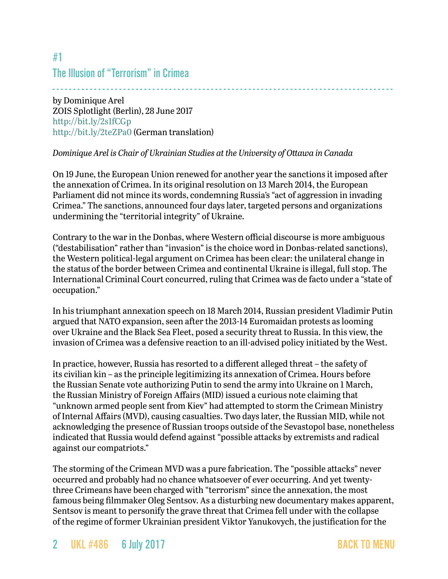## #1 The Illusion of "Terrorism" in Crimea

- - - - - - - - - - - - - - - - - - - - - - - - - - - - - - - - - - - - - - - - - - - - - - - - - - - - - - - - - - - - - - - - - - - - - - - - - - - - - - - - - by Dominique Arel ZOIS Splotlight (Berlin), 28 June 2017 <http://bit.ly/2s1fCGp> <http://bit.ly/2teZPa0> (German translation)

### *Dominique Arel is Chair of Ukrainian Studies at the University of Ottawa in Canada*

On 19 June, the European Union renewed for another year the sanctions it imposed after the annexation of Crimea. In its original resolution on 13 March 2014, the European Parliament did not mince its words, condemning Russia's "act of aggression in invading Crimea." The sanctions, announced four days later, targeted persons and organizations undermining the "territorial integrity" of Ukraine.

Contrary to the war in the Donbas, where Western official discourse is more ambiguous ("destabilisation" rather than "invasion" is the choice word in Donbas-related sanctions), the Western political-legal argument on Crimea has been clear: the unilateral change in the status of the border between Crimea and continental Ukraine is illegal, full stop. The International Criminal Court concurred, ruling that Crimea was de facto under a "state of occupation."

In his triumphant annexation speech on 18 March 2014, Russian president Vladimir Putin argued that NATO expansion, seen after the 2013-14 Euromaidan protests as looming over Ukraine and the Black Sea Fleet, posed a security threat to Russia. In this view, the invasion of Crimea was a defensive reaction to an ill-advised policy initiated by the West.

In practice, however, Russia has resorted to a different alleged threat – the safety of its civilian kin – as the principle legitimizing its annexation of Crimea. Hours before the Russian Senate vote authorizing Putin to send the army into Ukraine on 1 March, the Russian Ministry of Foreign Affairs (MID) issued a curious note claiming that "unknown armed people sent from Kiev" had attempted to storm the Crimean Ministry of Internal Affairs (MVD), causing casualties. Two days later, the Russian MID, while not acknowledging the presence of Russian troops outside of the Sevastopol base, nonetheless indicated that Russia would defend against "possible attacks by extremists and radical against our compatriots."

The storming of the Crimean MVD was a pure fabrication. The "possible attacks" never occurred and probably had no chance whatsoever of ever occurring. And yet twentythree Crimeans have been charged with "terrorism" since the annexation, the most famous being filmmaker Oleg Sentsov. As a disturbing new documentary makes apparent, Sentsov is meant to personify the grave threat that Crimea fell under with the collapse of the regime of former Ukrainian president Viktor Yanukovych, the justification for the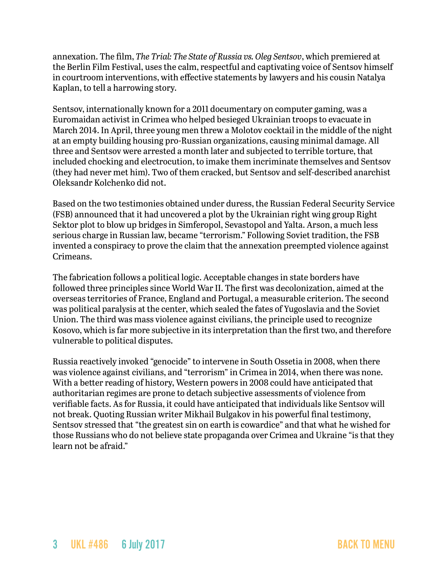annexation. The film, *The Trial: The State of Russia vs. Oleg Sentsov*, which premiered at the Berlin Film Festival, uses the calm, respectful and captivating voice of Sentsov himself in courtroom interventions, with effective statements by lawyers and his cousin Natalya Kaplan, to tell a harrowing story.

Sentsov, internationally known for a 2011 documentary on computer gaming, was a Euromaidan activist in Crimea who helped besieged Ukrainian troops to evacuate in March 2014. In April, three young men threw a Molotov cocktail in the middle of the night at an empty building housing pro-Russian organizations, causing minimal damage. All three and Sentsov were arrested a month later and subjected to terrible torture, that included chocking and electrocution, to imake them incriminate themselves and Sentsov (they had never met him). Two of them cracked, but Sentsov and self-described anarchist Oleksandr Kolchenko did not.

Based on the two testimonies obtained under duress, the Russian Federal Security Service (FSB) announced that it had uncovered a plot by the Ukrainian right wing group Right Sektor plot to blow up bridges in Simferopol, Sevastopol and Yalta. Arson, a much less serious charge in Russian law, became "terrorism." Following Soviet tradition, the FSB invented a conspiracy to prove the claim that the annexation preempted violence against Crimeans.

The fabrication follows a political logic. Acceptable changes in state borders have followed three principles since World War II. The first was decolonization, aimed at the overseas territories of France, England and Portugal, a measurable criterion. The second was political paralysis at the center, which sealed the fates of Yugoslavia and the Soviet Union. The third was mass violence against civilians, the principle used to recognize Kosovo, which is far more subjective in its interpretation than the first two, and therefore vulnerable to political disputes.

Russia reactively invoked "genocide" to intervene in South Ossetia in 2008, when there was violence against civilians, and "terrorism" in Crimea in 2014, when there was none. With a better reading of history, Western powers in 2008 could have anticipated that authoritarian regimes are prone to detach subjective assessments of violence from verifiable facts. As for Russia, it could have anticipated that individuals like Sentsov will not break. Quoting Russian writer Mikhail Bulgakov in his powerful final testimony, Sentsov stressed that "the greatest sin on earth is cowardice" and that what he wished for those Russians who do not believe state propaganda over Crimea and Ukraine "is that they learn not be afraid."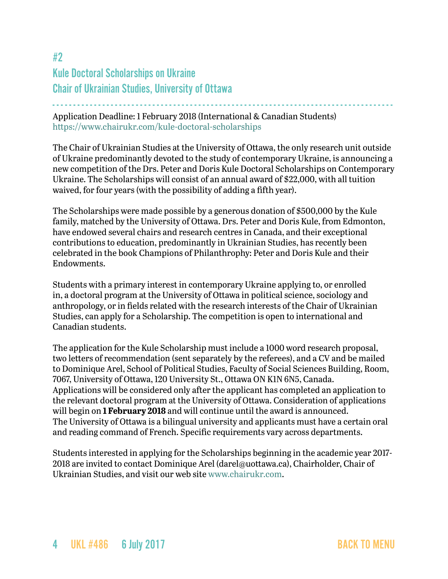# <span id="page-3-0"></span>#2 Kule Doctoral Scholarships on Ukraine Chair of Ukrainian Studies, University of Ottawa

- - - - - - - - - - - - - - - - - - - - - - - - - - - - - - - - - - - - - - - - - - - - - - - - - - - - - - - - - - - - - - - - - - - - - - - - - - - - - - - - - - Application Deadline: 1 February 2018 (International & Canadian Students) <https://www.chairukr.com/kule-doctoral-scholarships>

The Chair of Ukrainian Studies at the University of Ottawa, the only research unit outside of Ukraine predominantly devoted to the study of contemporary Ukraine, is announcing a new competition of the Drs. Peter and Doris Kule Doctoral Scholarships on Contemporary Ukraine. The Scholarships will consist of an annual award of \$22,000, with all tuition waived, for four years (with the possibility of adding a fifth year).

The Scholarships were made possible by a generous donation of \$500,000 by the Kule family, matched by the University of Ottawa. Drs. Peter and Doris Kule, from Edmonton, have endowed several chairs and research centres in Canada, and their exceptional contributions to education, predominantly in Ukrainian Studies, has recently been celebrated in the book Champions of Philanthrophy: Peter and Doris Kule and their Endowments.

Students with a primary interest in contemporary Ukraine applying to, or enrolled in, a doctoral program at the University of Ottawa in political science, sociology and anthropology, or in fields related with the research interests of the Chair of Ukrainian Studies, can apply for a Scholarship. The competition is open to international and Canadian students.

The application for the Kule Scholarship must include a 1000 word research proposal, two letters of recommendation (sent separately by the referees), and a CV and be mailed to Dominique Arel, School of Political Studies, Faculty of Social Sciences Building, Room, 7067, University of Ottawa, 120 University St., Ottawa ON K1N 6N5, Canada. Applications will be considered only after the applicant has completed an application to the relevant doctoral program at the University of Ottawa. Consideration of applications will begin on **1 February 2018** and will continue until the award is announced. The University of Ottawa is a bilingual university and applicants must have a certain oral and reading command of French. Specific requirements vary across departments.

Students interested in applying for the Scholarships beginning in the academic year 2017- 2018 are invited to contact Dominique Arel [\(darel@uottawa.ca](mailto:darel@uottawa.ca)), Chairholder, Chair of Ukrainian Studies, and visit our web site [www.chairukr.com](http://www.chairukr.com).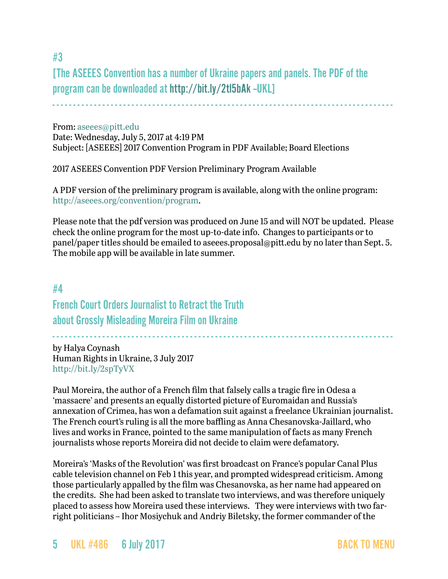# <span id="page-4-0"></span>#3 [The ASEEES Convention has a number of Ukraine papers and panels. The PDF of the program can be downloaded at <http://bit.ly/2tl5bAk>-UKL]

- - - - - - - - - - - - - - - - - - - - - - - - - - - - - - - - - - - - - - - - - - - - - - - - - - - - - - - - - - - - - - - - - - - - - - - - - - - - - - - - - -

#### From: [aseees@pitt.edu](mailto:aseees@pitt.edu) Date: Wednesday, July 5, 2017 at 4:19 PM Subject: [ASEEES] 2017 Convention Program in PDF Available; Board Elections

2017 ASEEES Convention PDF Version Preliminary Program Available

A PDF version of the preliminary program is available, along with the online program: <http://aseees.org/convention/program>.

Please note that the pdf version was produced on June 15 and will NOT be updated. Please check the online program for the most up-to-date info. Changes to participants or to panel/paper titles should be emailed to aseees.proposal@pitt.edu by no later than Sept. 5. The mobile app will be available in late summer.

### <span id="page-4-1"></span>#4

French Court Orders Journalist to Retract the Truth about Grossly Misleading Moreira Film on Ukraine

- - - - - - - - - - - - - - - - - - - - - - - - - - - - - - - - - - - - - - - - - - - - - - - - - - - - - - - - - - - - - - - - - - - - - - - - - - - - - - - - - by Halya Coynash Human Rights in Ukraine, 3 July 2017 <http://bit.ly/2spTyVX>

Paul Moreira, the author of a French film that falsely calls a tragic fire in Odesa a 'massacre' and presents an equally distorted picture of Euromaidan and Russia's annexation of Crimea, has won a defamation suit against a freelance Ukrainian journalist. The French court's ruling is all the more baffling as Anna Chesanovska-Jaillard, who lives and works in France, pointed to the same manipulation of facts as many French journalists whose reports Moreira did not decide to claim were defamatory.

Moreira's 'Masks of the Revolution' was first broadcast on France's popular Canal Plus cable television channel on Feb 1 this year, and prompted widespread criticism. Among those particularly appalled by the film was Chesanovska, as her name had appeared on the credits. She had been asked to translate two interviews, and was therefore uniquely placed to assess how Moreira used these interviews. They were interviews with two farright politicians – Ihor Mosiychuk and Andriy Biletsky, the former commander of the

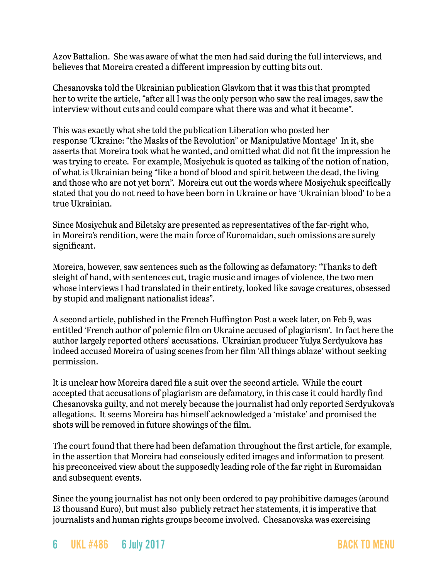Azov Battalion. She was aware of what the men had said during the full interviews, and believes that Moreira created a different impression by cutting bits out.

Chesanovska told the Ukrainian publication Glavkom that it was this that prompted her to write the article, "after all I was the only person who saw the real images, saw the interview without cuts and could compare what there was and what it became".

This was exactly what she told the publication Liberation who posted her response 'Ukraine: "the Masks of the Revolution" or Manipulative Montage' In it, she asserts that Moreira took what he wanted, and omitted what did not fit the impression he was trying to create. For example, Mosiychuk is quoted as talking of the notion of nation, of what is Ukrainian being "like a bond of blood and spirit between the dead, the living and those who are not yet born". Moreira cut out the words where Mosiychuk specifically stated that you do not need to have been born in Ukraine or have 'Ukrainian blood' to be a true Ukrainian.

Since Mosiychuk and Biletsky are presented as representatives of the far-right who, in Moreira's rendition, were the main force of Euromaidan, such omissions are surely significant.

Moreira, however, saw sentences such as the following as defamatory: "Thanks to deft sleight of hand, with sentences cut, tragic music and images of violence, the two men whose interviews I had translated in their entirety, looked like savage creatures, obsessed by stupid and malignant nationalist ideas".

A second article, published in the French Huffington Post a week later, on Feb 9, was entitled 'French author of polemic film on Ukraine accused of plagiarism'. In fact here the author largely reported others' accusations. Ukrainian producer Yulya Serdyukova has indeed accused Moreira of using scenes from her film 'All things ablaze' without seeking permission.

It is unclear how Moreira dared file a suit over the second article. While the court accepted that accusations of plagiarism are defamatory, in this case it could hardly find Chesanovska guilty, and not merely because the journalist had only reported Serdyukova's allegations. It seems Moreira has himself acknowledged a 'mistake' and promised the shots will be removed in future showings of the film.

The court found that there had been defamation throughout the first article, for example, in the assertion that Moreira had consciously edited images and information to present his preconceived view about the supposedly leading role of the far right in Euromaidan and subsequent events.

Since the young journalist has not only been ordered to pay prohibitive damages (around 13 thousand Euro), but must also publicly retract her statements, it is imperative that journalists and human rights groups become involved. Chesanovska was exercising

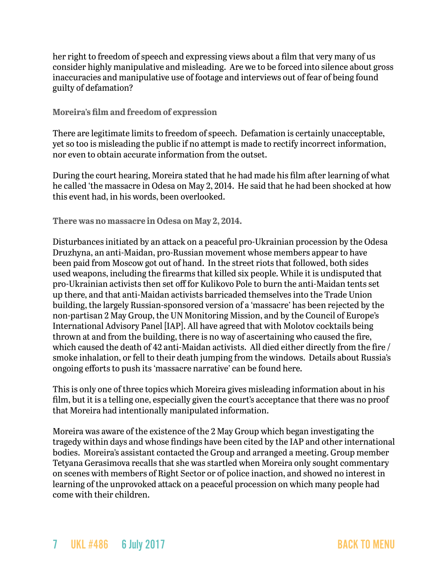her right to freedom of speech and expressing views about a film that very many of us consider highly manipulative and misleading. Are we to be forced into silence about gross inaccuracies and manipulative use of footage and interviews out of fear of being found guilty of defamation?

**Moreira's film and freedom of expression**

There are legitimate limits to freedom of speech. Defamation is certainly unacceptable, yet so too is misleading the public if no attempt is made to rectify incorrect information, nor even to obtain accurate information from the outset.

During the court hearing, Moreira stated that he had made his film after learning of what he called 'the massacre in Odesa on May 2, 2014. He said that he had been shocked at how this event had, in his words, been overlooked.

**There was no massacre in Odesa on May 2, 2014.** 

Disturbances initiated by an attack on a peaceful pro-Ukrainian procession by the Odesa Druzhyna, an anti-Maidan, pro-Russian movement whose members appear to have been paid from Moscow got out of hand. In the street riots that followed, both sides used weapons, including the firearms that killed six people. While it is undisputed that pro-Ukrainian activists then set off for Kulikovo Pole to burn the anti-Maidan tents set up there, and that anti-Maidan activists barricaded themselves into the Trade Union building, the largely Russian-sponsored version of a 'massacre' has been rejected by the non-partisan 2 May Group, the UN Monitoring Mission, and by the Council of Europe's International Advisory Panel [IAP]. All have agreed that with Molotov cocktails being thrown at and from the building, there is no way of ascertaining who caused the fire, which caused the death of 42 anti-Maidan activists. All died either directly from the fire / smoke inhalation, or fell to their death jumping from the windows. Details about Russia's ongoing efforts to push its 'massacre narrative' can be found here.

This is only one of three topics which Moreira gives misleading information about in his film, but it is a telling one, especially given the court's acceptance that there was no proof that Moreira had intentionally manipulated information.

Moreira was aware of the existence of the 2 May Group which began investigating the tragedy within days and whose findings have been cited by the IAP and other international bodies. Moreira's assistant contacted the Group and arranged a meeting. Group member Tetyana Gerasimova recalls that she was startled when Moreira only sought commentary on scenes with members of Right Sector or of police inaction, and showed no interest in learning of the unprovoked attack on a peaceful procession on which many people had come with their children.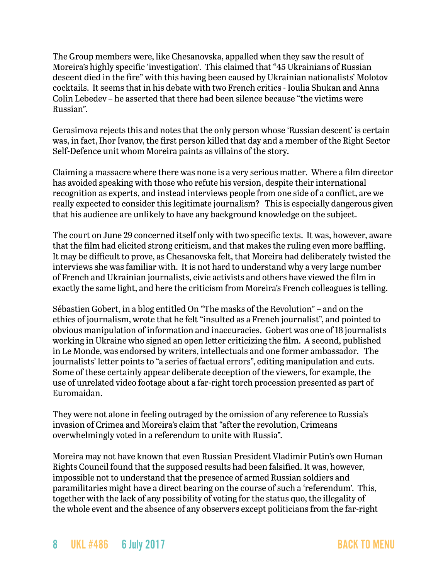The Group members were, like Chesanovska, appalled when they saw the result of Moreira's highly specific 'investigation'. This claimed that "45 Ukrainians of Russian descent died in the fire" with this having been caused by Ukrainian nationalists' Molotov cocktails. It seems that in his debate with two French critics - Ioulia Shukan and Anna Colin Lebedev – he asserted that there had been silence because "the victims were Russian".

Gerasimova rejects this and notes that the only person whose 'Russian descent' is certain was, in fact, Ihor Ivanov, the first person killed that day and a member of the Right Sector Self-Defence unit whom Moreira paints as villains of the story.

Claiming a massacre where there was none is a very serious matter. Where a film director has avoided speaking with those who refute his version, despite their international recognition as experts, and instead interviews people from one side of a conflict, are we really expected to consider this legitimate journalism? This is especially dangerous given that his audience are unlikely to have any background knowledge on the subject.

The court on June 29 concerned itself only with two specific texts. It was, however, aware that the film had elicited strong criticism, and that makes the ruling even more baffling. It may be difficult to prove, as Chesanovska felt, that Moreira had deliberately twisted the interviews she was familiar with. It is not hard to understand why a very large number of French and Ukrainian journalists, civic activists and others have viewed the film in exactly the same light, and here the criticism from Moreira's French colleagues is telling.

Sébastien Gobert, in a blog entitled On "The masks of the Revolution" – and on the ethics of journalism, wrote that he felt "insulted as a French journalist", and pointed to obvious manipulation of information and inaccuracies. Gobert was one of 18 journalists working in Ukraine who signed an open letter criticizing the film. A second, published in Le Monde, was endorsed by writers, intellectuals and one former ambassador. The journalists' letter points to "a series of factual errors", editing manipulation and cuts. Some of these certainly appear deliberate deception of the viewers, for example, the use of unrelated video footage about a far-right torch procession presented as part of Euromaidan.

They were not alone in feeling outraged by the omission of any reference to Russia's invasion of Crimea and Moreira's claim that "after the revolution, Crimeans overwhelmingly voted in a referendum to unite with Russia".

Moreira may not have known that even Russian President Vladimir Putin's own Human Rights Council found that the supposed results had been falsified. It was, however, impossible not to understand that the presence of armed Russian soldiers and paramilitaries might have a direct bearing on the course of such a 'referendum'. This, together with the lack of any possibility of voting for the status quo, the illegality of the whole event and the absence of any observers except politicians from the far-right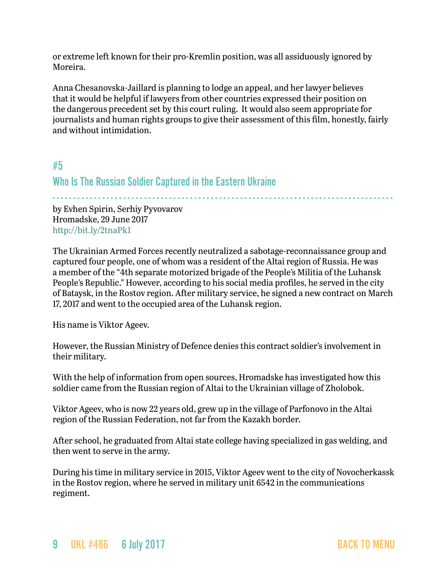or extreme left known for their pro-Kremlin position, was all assiduously ignored by Moreira.

Anna Chesanovska-Jaillard is planning to lodge an appeal, and her lawyer believes that it would be helpful if lawyers from other countries expressed their position on the dangerous precedent set by this court ruling. It would also seem appropriate for journalists and human rights groups to give their assessment of this film, honestly, fairly and without intimidation.

### <span id="page-8-0"></span>#5 Who Is The Russian Soldier Captured in the Eastern Ukraine

- - - - - - - - - - - - - - - - - - - - - - - - - - - - - - - - - - - - - - - - - - - - - - - - - - - - - - - - - - - - - - - - - - - - - - - - - - - - - - - - - -

by Evhen Spirin, Serhiy Pyvovarov Hromadske, 29 June 2017 <http://bit.ly/2tnaPk1>

The Ukrainian Armed Forces recently neutralized a sabotage-reconnaissance group and captured four people, one of whom was a resident of the Altai region of Russia. He was a member of the "4th separate motorized brigade of the People's Militia of the Luhansk People's Republic." However, according to his social media profiles, he served in the city of Bataysk, in the Rostov region. After military service, he signed a new contract on March 17, 2017 and went to the occupied area of the Luhansk region.

His name is Viktor Ageev.

However, the Russian Ministry of Defence denies this contract soldier's involvement in their military.

With the help of information from open sources, Hromadske has investigated how this soldier came from the Russian region of Altai to the Ukrainian village of Zholobok.

Viktor Ageev, who is now 22 years old, grew up in the village of Parfonovo in the Altai region of the Russian Federation, not far from the Kazakh border.

After school, he graduated from Altai state college having specialized in gas welding, and then went to serve in the army.

During his time in military service in 2015, Viktor Ageev went to the city of Novocherkassk in the Rostov region, where he served in military unit 6542 in the communications regiment.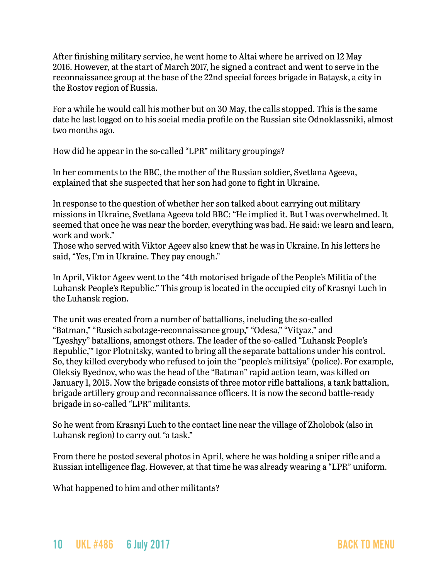After finishing military service, he went home to Altai where he arrived on 12 May 2016. However, at the start of March 2017, he signed a contract and went to serve in the reconnaissance group at the base of the 22nd special forces brigade in Bataysk, a city in the Rostov region of Russia.

For a while he would call his mother but on 30 May, the calls stopped. This is the same date he last logged on to his social media profile on the Russian site Odnoklassniki, almost two months ago.

How did he appear in the so-called "LPR" military groupings?

In her [comments to the BBC](http://www.bbc.com/russian/features-40423925), the mother of the Russian soldier, Svetlana Ageeva, explained that she suspected that her son had gone to fight in Ukraine.

In response to the question of whether her son talked about carrying out military missions in Ukraine, Svetlana Ageeva told BBC: "He implied it. But I was overwhelmed. It seemed that once he was near the border, everything was bad. He said: we learn and learn, work and work."

Those who served with Viktor Ageev also knew that he was in Ukraine. In his letters he said, "Yes, I'm in Ukraine. They pay enough."

In April, Viktor Ageev went to the "4th motorised brigade of the People's Militia of the Luhansk People's Republic." This group is located in the occupied city of Krasnyi Luch in the Luhansk region.

The unit was created from a number of battallions, including the so-called "Batman," "Rusich sabotage-reconnaissance group," "Odesa," "Vityaz," and "Lyeshyy" batallions, amongst others. The leader of the so-called "Luhansk People's Republic,'" Igor Plotnitsky, wanted to bring all the separate battalions under his control. So, they killed everybody who refused to join the "people's militsiya" (police). For example, Oleksiy Byednov, who was the head of the "Batman" rapid action team, was killed on January 1, 2015. Now the brigade consists of three motor rifle battalions, a tank battalion, brigade artillery group and reconnaissance officers. It is now the second battle-ready brigade in so-called "LPR" militants.

So he went from Krasnyi Luch to the contact line near the village of Zholobok (also in Luhansk region) to carry out "a task."

From there he posted several photos in April, where he was holding a sniper rifle and a Russian intelligence flag. However, at that time he was already wearing a "LPR" uniform.

What happened to him and other militants?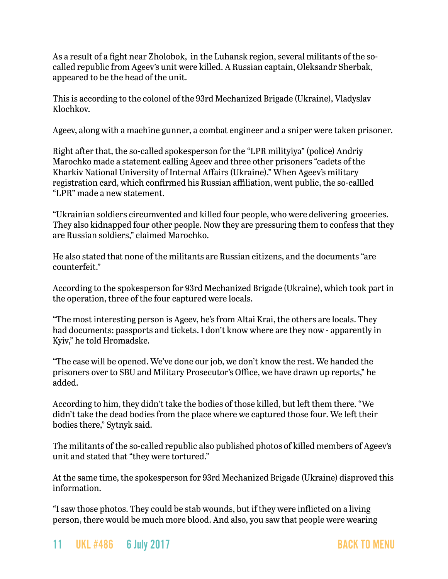As a result of a fight near Zholobok, in the Luhansk region, several militants of the socalled republic from Ageev's unit were killed. A Russian captain, Oleksandr Sherbak, appeared to be the head of the unit.

This is according to the colonel of the 93rd Mechanized Brigade (Ukraine), Vladyslav Klochkov.

Ageev, along with a machine gunner, a combat engineer and a sniper were taken prisoner.

Right after that, the so-called spokesperson for the "LPR milityiya" (police) Andriy Marochko made a statement calling Ageev and three other prisoners "cadets of the Kharkiv National University of Internal Affairs (Ukraine)." When Ageev's military registration card, which confirmed his Russian affiliation, went public, the so-callled "LPR" made a new statement.

"Ukrainian soldiers circumvented and killed four people, who were delivering groceries. They also kidnapped four other people. Now they are pressuring them to confess that they are Russian soldiers," claimed Marochko.

He also stated that none of the militants are Russian citizens, and the documents "are counterfeit."

According to the spokesperson for 93rd Mechanized Brigade (Ukraine), which took part in the operation, three of the four captured were locals.

"The most interesting person is Ageev, he's from Altai Krai, the others are locals. They had documents: passports and tickets. I don't know where are they now - apparently in Kyiv," he told Hromadske.

"The case will be opened. We've done our job, we don't know the rest. We handed the prisoners over to SBU and Military Prosecutor's Office, we have drawn up reports," he added.

According to him, they didn't take the bodies of those killed, but left them there. "We didn't take the dead bodies from the place where we captured those four. We left their bodies there," Sytnyk said.

The militants of the so-called republic also published photos of killed members of Ageev's unit and stated that "they were tortured."

At the same time, the spokesperson for 93rd Mechanized Brigade (Ukraine) disproved this information.

"I saw those photos. They could be stab wounds, but if they were inflicted on a living person, there would be much more blood. And also, you saw that people were wearing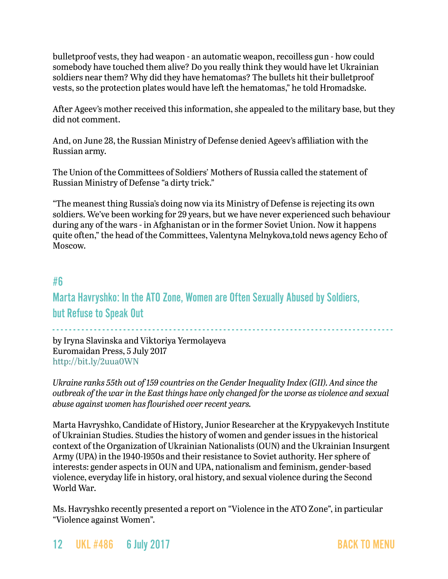bulletproof vests, they had weapon - an automatic weapon, recoilless gun - how could somebody have touched them alive? Do you really think they would have let Ukrainian soldiers near them? Why did they have hematomas? The bullets hit their bulletproof vests, so the protection plates would have left the hematomas," he told Hromadske.

After Ageev's mother received this information, she appealed to the military base, but they did not comment.

And, on June 28, the Russian Ministry of Defense denied Ageev's affiliation with the Russian army.

The Union of the Committees of Soldiers' Mothers of Russia called the statement of Russian Ministry of Defense "a dirty trick."

"The meanest thing Russia's doing now via its Ministry of Defense is rejecting its own soldiers. We've been working for 29 years, but we have never experienced such behaviour during any of the wars - in Afghanistan or in the former Soviet Union. Now it happens quite often," the head of the Committees, Valentyna Melnykova,told news agency Echo of Moscow.

### <span id="page-11-0"></span>#6

## Marta Havryshko: In the ATO Zone, Women are Often Sexually Abused by Soldiers, but Refuse to Speak Out

- - - - - - - - - - - - - - - - - - - - - - - - - - - - - - - - - - - - - - - - - - - - - - - - - - - - - - - - - - - - - - - - - - - - - - - - - - - - - - - - - by Iryna Slavinska and Viktoriya Yermolayeva Euromaidan Press, 5 July 2017 <http://bit.ly/2uua0WN>

*Ukraine ranks 55th out of 159 countries on the Gender Inequality Index (GII). And since the outbreak of the war in the East things have only changed for the worse as violence and sexual abuse against women has flourished over recent years.*

Marta Havryshko, Candidate of History, Junior Researcher at the Krypyakevych Institute of Ukrainian Studies. Studies the history of women and gender issues in the historical context of the Organization of Ukrainian Nationalists (OUN) and the Ukrainian Insurgent Army (UPA) in the 1940-1950s and their resistance to Soviet authority. Her sphere of interests: gender aspects in OUN and UPA, nationalism and feminism, gender-based violence, everyday life in history, oral history, and sexual violence during the Second World War.

Ms. Havryshko recently presented a report on "Violence in the ATO Zone", in particular "Violence against Women".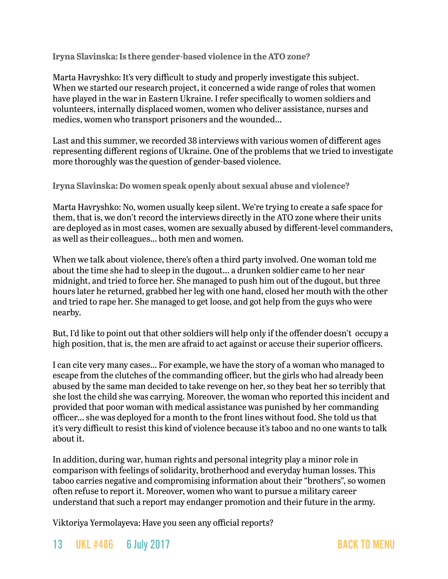**Iryna Slavinska: Is there gender-based violence in the ATO zone?**

Marta Havryshko: It's very difficult to study and properly investigate this subject. When we started our research project, it concerned a wide range of roles that women have played in the war in Eastern Ukraine. I refer specifically to women soldiers and volunteers, internally displaced women, women who deliver assistance, nurses and medics, women who transport prisoners and the wounded…

Last and this summer, we recorded 38 interviews with various women of different ages representing different regions of Ukraine. One of the problems that we tried to investigate more thoroughly was the question of gender-based violence.

**Iryna Slavinska: Do women speak openly about sexual abuse and violence?** 

Marta Havryshko: No, women usually keep silent. We're trying to create a safe space for them, that is, we don't record the interviews directly in the ATO zone where their units are deployed as in most cases, women are sexually abused by different-level commanders, as well as their colleagues… both men and women.

When we talk about violence, there's often a third party involved. One woman told me about the time she had to sleep in the dugout… a drunken soldier came to her near midnight, and tried to force her. She managed to push him out of the dugout, but three hours later he returned, grabbed her leg with one hand, closed her mouth with the other and tried to rape her. She managed to get loose, and got help from the guys who were nearby.

But, I'd like to point out that other soldiers will help only if the offender doesn't occupy a high position, that is, the men are afraid to act against or accuse their superior officers.

I can cite very many cases… For example, we have the story of a woman who managed to escape from the clutches of the commanding officer, but the girls who had already been abused by the same man decided to take revenge on her, so they beat her so terribly that she lost the child she was carrying. Moreover, the woman who reported this incident and provided that poor woman with medical assistance was punished by her commanding officer… she was deployed for a month to the front lines without food. She told us that it's very difficult to resist this kind of violence because it's taboo and no one wants to talk about it.

In addition, during war, human rights and personal integrity play a minor role in comparison with feelings of solidarity, brotherhood and everyday human losses. This taboo carries negative and compromising information about their "brothers", so women often refuse to report it. Moreover, women who want to pursue a military career understand that such a report may endanger promotion and their future in the army.

Viktoriya Yermolayeva: Have you seen any official reports?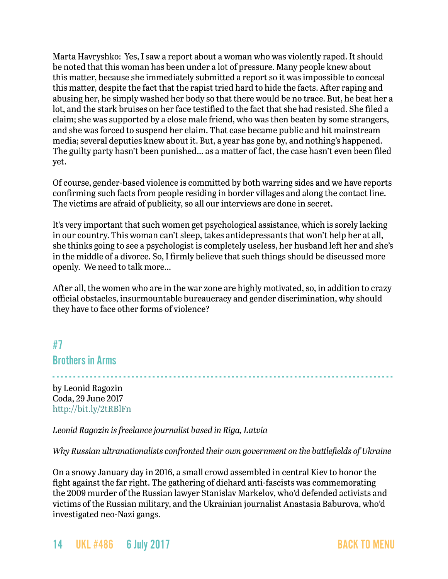Marta Havryshko: Yes, I saw a report about a woman who was violently raped. It should be noted that this woman has been under a lot of pressure. Many people knew about this matter, because she immediately submitted a report so it was impossible to conceal this matter, despite the fact that the rapist tried hard to hide the facts. After raping and abusing her, he simply washed her body so that there would be no trace. But, he beat her a lot, and the stark bruises on her face testified to the fact that she had resisted. She filed a claim; she was supported by a close male friend, who was then beaten by some strangers, and she was forced to suspend her claim. That case became public and hit mainstream media; several deputies knew about it. But, a year has gone by, and nothing's happened. The guilty party hasn't been punished… as a matter of fact, the case hasn't even been filed yet.

Of course, gender-based violence is committed by both warring sides and we have reports confirming such facts from people residing in border villages and along the contact line. The victims are afraid of publicity, so all our interviews are done in secret.

It's very important that such women get psychological assistance, which is sorely lacking in our country. This woman can't sleep, takes antidepressants that won't help her at all, she thinks going to see a psychologist is completely useless, her husband left her and she's in the middle of a divorce. So, I firmly believe that such things should be discussed more openly. We need to talk more…

After all, the women who are in the war zone are highly motivated, so, in addition to crazy official obstacles, insurmountable bureaucracy and gender discrimination, why should they have to face other forms of violence?

<span id="page-13-0"></span>#7

Brothers in Arms

- - - - - - - - - - - - - - - - - - - - - - - - - - - - - - - - - - - - - - - - - - - - - - - - - - - - - - - - - - - - - - - - - - - - - - - - - - - - - - - - - by Leonid Ragozin Coda, 29 June 2017 <http://bit.ly/2tRBlFn>

*Leonid Ragozin is freelance journalist based in Riga, Latvia*

*Why Russian ultranationalists confronted their own government on the battlefields of Ukraine*

On a snowy January day in 2016, a small crowd assembled in central Kiev to honor the fight against the far right. The gathering of diehard anti-fascists was commemorating the 2009 murder of the Russian lawyer Stanislav Markelov, who'd defended activists and victims of the Russian military, and the Ukrainian journalist Anastasia Baburova, who'd investigated neo-Nazi gangs.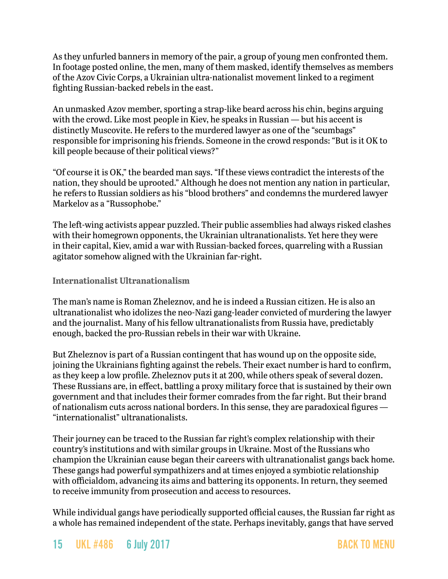As they unfurled banners in memory of the pair, a group of young men confronted them. In footage posted online, the men, many of them masked, identify themselves as members of the Azov Civic Corps, a Ukrainian ultra-nationalist movement linked to a regiment fighting Russian-backed rebels in the east.

An unmasked Azov member, sporting a strap-like beard across his chin, begins arguing with the crowd. Like most people in Kiev, he speaks in Russian — but his accent is distinctly Muscovite. He refers to the murdered lawyer as one of the "scumbags" responsible for imprisoning his friends. Someone in the crowd responds: "But is it OK to kill people because of their political views?"

"Of course it is OK," the bearded man says. "If these views contradict the interests of the nation, they should be uprooted." Although he does not mention any nation in particular, he refers to Russian soldiers as his "blood brothers" and condemns the murdered lawyer Markelov as a "Russophobe."

The left-wing activists appear puzzled. Their public assemblies had always risked clashes with their homegrown opponents, the Ukrainian ultranationalists. Yet here they were in their capital, Kiev, amid a war with Russian-backed forces, quarreling with a Russian agitator somehow aligned with the Ukrainian far-right.

#### **Internationalist Ultranationalism**

The man's name is Roman Zheleznov, and he is indeed a Russian citizen. He is also an ultranationalist who idolizes the neo-Nazi gang-leader convicted of murdering the lawyer and the journalist. Many of his fellow ultranationalists from Russia have, predictably enough, backed the pro-Russian rebels in their war with Ukraine.

But Zheleznov is part of a Russian contingent that has wound up on the opposite side, joining the Ukrainians fighting against the rebels. Their exact number is hard to confirm, as they keep a low profile. Zheleznov puts it at 200, while others speak of several dozen. These Russians are, in effect, battling a proxy military force that is sustained by their own government and that includes their former comrades from the far right. But their brand of nationalism cuts across national borders. In this sense, they are paradoxical figures — "internationalist" ultranationalists.

Their journey can be traced to the Russian far right's complex relationship with their country's institutions and with similar groups in Ukraine. Most of the Russians who champion the Ukrainian cause began their careers with ultranationalist gangs back home. These gangs had powerful sympathizers and at times enjoyed a symbiotic relationship with officialdom, advancing its aims and battering its opponents. In return, they seemed to receive immunity from prosecution and access to resources.

While individual gangs have periodically supported official causes, the Russian far right as a whole has remained independent of the state. Perhaps inevitably, gangs that have served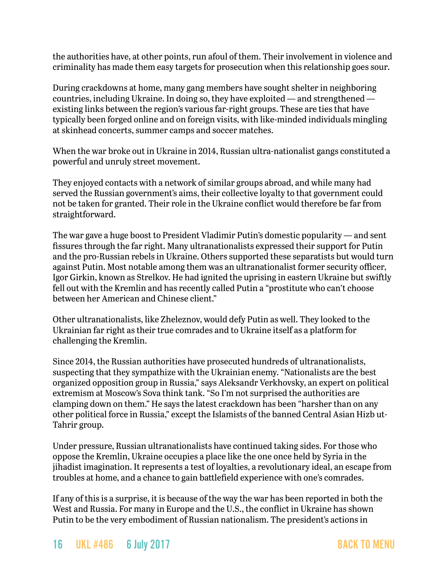the authorities have, at other points, run afoul of them. Their involvement in violence and criminality has made them easy targets for prosecution when this relationship goes sour.

During crackdowns at home, many gang members have sought shelter in neighboring countries, including Ukraine. In doing so, they have exploited — and strengthened existing links between the region's various far-right groups. These are ties that have typically been forged online and on foreign visits, with like-minded individuals mingling at skinhead concerts, summer camps and soccer matches.

When the war broke out in Ukraine in 2014, Russian ultra-nationalist gangs constituted a powerful and unruly street movement.

They enjoyed contacts with a network of similar groups abroad, and while many had served the Russian government's aims, their collective loyalty to that government could not be taken for granted. Their role in the Ukraine conflict would therefore be far from straightforward.

The war gave a huge boost to President Vladimir Putin's domestic popularity — and sent fissures through the far right. Many ultranationalists expressed their support for Putin and the pro-Russian rebels in Ukraine. Others supported these separatists but would turn against Putin. Most notable among them was an ultranationalist former security officer, Igor Girkin, known as Strelkov. He had ignited the uprising in eastern Ukraine but swiftly fell out with the Kremlin and has recently called Putin a "prostitute who can't choose between her American and Chinese client."

Other ultranationalists, like Zheleznov, would defy Putin as well. They looked to the Ukrainian far right as their true comrades and to Ukraine itself as a platform for challenging the Kremlin.

Since 2014, the Russian authorities have prosecuted hundreds of ultranationalists, suspecting that they sympathize with the Ukrainian enemy. "Nationalists are the best organized opposition group in Russia," says Aleksandr Verkhovsky, an expert on political extremism at Moscow's Sova think tank. "So I'm not surprised the authorities are clamping down on them." He says the latest crackdown has been "harsher than on any other political force in Russia," except the Islamists of the banned Central Asian Hizb ut-Tahrir group.

Under pressure, Russian ultranationalists have continued taking sides. For those who oppose the Kremlin, Ukraine occupies a place like the one once held by Syria in the jihadist imagination. It represents a test of loyalties, a revolutionary ideal, an escape from troubles at home, and a chance to gain battlefield experience with one's comrades.

If any of this is a surprise, it is because of the way the war has been reported in both the West and Russia. For many in Europe and the U.S., the conflict in Ukraine has shown Putin to be the very embodiment of Russian nationalism. The president's actions in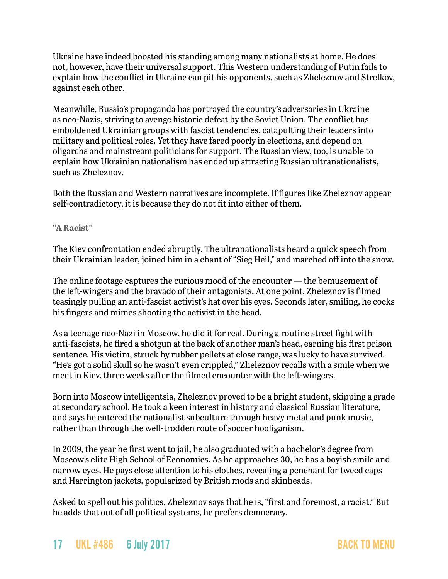Ukraine have indeed boosted his standing among many nationalists at home. He does not, however, have their universal support. This Western understanding of Putin fails to explain how the conflict in Ukraine can pit his opponents, such as Zheleznov and Strelkov, against each other.

Meanwhile, Russia's propaganda has portrayed the country's adversaries in Ukraine as neo-Nazis, striving to avenge historic defeat by the Soviet Union. The conflict has emboldened Ukrainian groups with fascist tendencies, catapulting their leaders into military and political roles. Yet they have fared poorly in elections, and depend on oligarchs and mainstream politicians for support. The Russian view, too, is unable to explain how Ukrainian nationalism has ended up attracting Russian ultranationalists, such as Zheleznov.

Both the Russian and Western narratives are incomplete. If figures like Zheleznov appear self-contradictory, it is because they do not fit into either of them.

#### **"A Racist"**

The Kiev confrontation ended abruptly. The ultranationalists heard a quick speech from their Ukrainian leader, joined him in a chant of "Sieg Heil," and marched off into the snow.

The online footage captures the curious mood of the encounter — the bemusement of the left-wingers and the bravado of their antagonists. At one point, Zheleznov is filmed teasingly pulling an anti-fascist activist's hat over his eyes. Seconds later, smiling, he cocks his fingers and mimes shooting the activist in the head.

As a teenage neo-Nazi in Moscow, he did it for real. During a routine street fight with anti-fascists, he fired a shotgun at the back of another man's head, earning his first prison sentence. His victim, struck by rubber pellets at close range, was lucky to have survived. "He's got a solid skull so he wasn't even crippled," Zheleznov recalls with a smile when we meet in Kiev, three weeks after the filmed encounter with the left-wingers.

Born into Moscow intelligentsia, Zheleznov proved to be a bright student, skipping a grade at secondary school. He took a keen interest in history and classical Russian literature, and says he entered the nationalist subculture through heavy metal and punk music, rather than through the well-trodden route of soccer hooliganism.

In 2009, the year he first went to jail, he also graduated with a bachelor's degree from Moscow's elite High School of Economics. As he approaches 30, he has a boyish smile and narrow eyes. He pays close attention to his clothes, revealing a penchant for tweed caps and Harrington jackets, popularized by British mods and skinheads.

Asked to spell out his politics, Zheleznov says that he is, "first and foremost, a racist." But he adds that out of all political systems, he prefers democracy.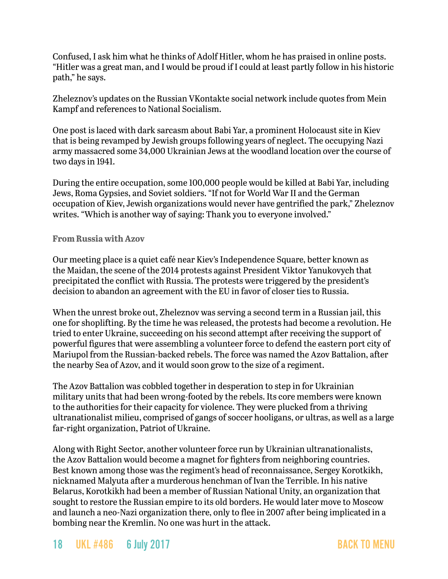Confused, I ask him what he thinks of Adolf Hitler, whom he has praised in online posts. "Hitler was a great man, and I would be proud if I could at least partly follow in his historic path," he says.

Zheleznov's updates on the Russian VKontakte social network include quotes from Mein Kampf and references to National Socialism.

One post is laced with dark sarcasm about Babi Yar, a prominent Holocaust site in Kiev that is being revamped by Jewish groups following years of neglect. The occupying Nazi army massacred some 34,000 Ukrainian Jews at the woodland location over the course of two days in 1941.

During the entire occupation, some 100,000 people would be killed at Babi Yar, including Jews, Roma Gypsies, and Soviet soldiers. "If not for World War II and the German occupation of Kiev, Jewish organizations would never have gentrified the park," Zheleznov writes. "Which is another way of saying: Thank you to everyone involved."

#### **From Russia with Azov**

Our meeting place is a quiet café near Kiev's Independence Square, better known as the Maidan, the scene of the 2014 protests against President Viktor Yanukovych that precipitated the conflict with Russia. The protests were triggered by the president's decision to abandon an agreement with the EU in favor of closer ties to Russia.

When the unrest broke out, Zheleznov was serving a second term in a Russian jail, this one for shoplifting. By the time he was released, the protests had become a revolution. He tried to enter Ukraine, succeeding on his second attempt after receiving the support of powerful figures that were assembling a volunteer force to defend the eastern port city of Mariupol from the Russian-backed rebels. The force was named the Azov Battalion, after the nearby Sea of Azov, and it would soon grow to the size of a regiment.

The Azov Battalion was cobbled together in desperation to step in for Ukrainian military units that had been wrong-footed by the rebels. Its core members were known to the authorities for their capacity for violence. They were plucked from a thriving ultranationalist milieu, comprised of gangs of soccer hooligans, or ultras, as well as a large far-right organization, Patriot of Ukraine.

Along with Right Sector, another volunteer force run by Ukrainian ultranationalists, the Azov Battalion would become a magnet for fighters from neighboring countries. Best known among those was the regiment's head of reconnaissance, Sergey Korotkikh, nicknamed Malyuta after a murderous henchman of Ivan the Terrible. In his native Belarus, Korotkikh had been a member of Russian National Unity, an organization that sought to restore the Russian empire to its old borders. He would later move to Moscow and launch a neo-Nazi organization there, only to flee in 2007 after being implicated in a bombing near the Kremlin. No one was hurt in the attack.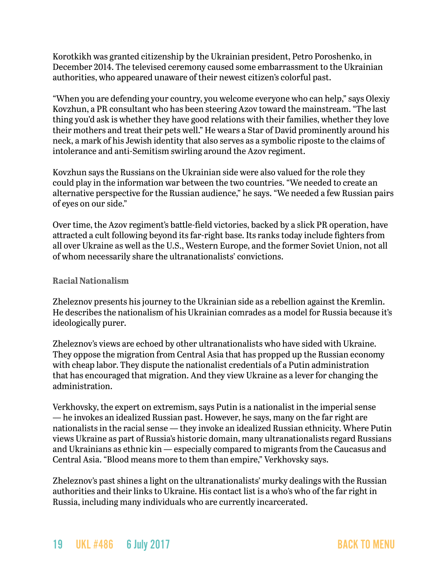Korotkikh was granted citizenship by the Ukrainian president, Petro Poroshenko, in December 2014. The televised ceremony caused some embarrassment to the Ukrainian authorities, who appeared unaware of their newest citizen's colorful past.

"When you are defending your country, you welcome everyone who can help," says Olexiy Kovzhun, a PR consultant who has been steering Azov toward the mainstream. "The last thing you'd ask is whether they have good relations with their families, whether they love their mothers and treat their pets well." He wears a Star of David prominently around his neck, a mark of his Jewish identity that also serves as a symbolic riposte to the claims of intolerance and anti-Semitism swirling around the Azov regiment.

Kovzhun says the Russians on the Ukrainian side were also valued for the role they could play in the information war between the two countries. "We needed to create an alternative perspective for the Russian audience," he says. "We needed a few Russian pairs of eyes on our side."

Over time, the Azov regiment's battle-field victories, backed by a slick PR operation, have attracted a cult following beyond its far-right base. Its ranks today include fighters from all over Ukraine as well as the U.S., Western Europe, and the former Soviet Union, not all of whom necessarily share the ultranationalists' convictions.

#### **Racial Nationalism**

Zheleznov presents his journey to the Ukrainian side as a rebellion against the Kremlin. He describes the nationalism of his Ukrainian comrades as a model for Russia because it's ideologically purer.

Zheleznov's views are echoed by other ultranationalists who have sided with Ukraine. They oppose the migration from Central Asia that has propped up the Russian economy with cheap labor. They dispute the nationalist credentials of a Putin administration that has encouraged that migration. And they view Ukraine as a lever for changing the administration.

Verkhovsky, the expert on extremism, says Putin is a nationalist in the imperial sense — he invokes an idealized Russian past. However, he says, many on the far right are nationalists in the racial sense — they invoke an idealized Russian ethnicity. Where Putin views Ukraine as part of Russia's historic domain, many ultranationalists regard Russians and Ukrainians as ethnic kin — especially compared to migrants from the Caucasus and Central Asia. "Blood means more to them than empire," Verkhovsky says.

Zheleznov's past shines a light on the ultranationalists' murky dealings with the Russian authorities and their links to Ukraine. His contact list is a who's who of the far right in Russia, including many individuals who are currently incarcerated.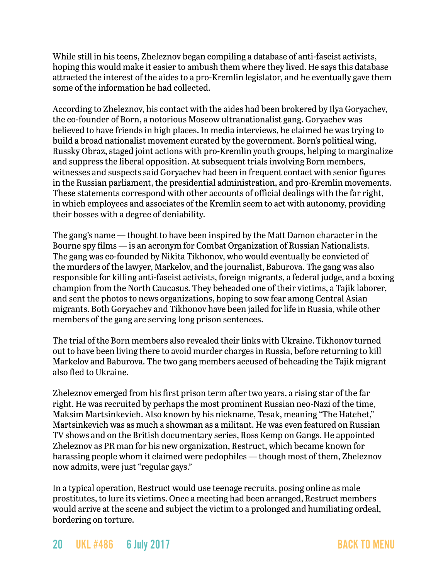While still in his teens, Zheleznov began compiling a database of anti-fascist activists, hoping this would make it easier to ambush them where they lived. He says this database attracted the interest of the aides to a pro-Kremlin legislator, and he eventually gave them some of the information he had collected.

According to Zheleznov, his contact with the aides had been brokered by Ilya Goryachev, the co-founder of Born, a notorious Moscow ultranationalist gang. Goryachev was believed to have friends in high places. In media interviews, he claimed he was trying to build a broad nationalist movement curated by the government. Born's political wing, Russky Obraz, staged joint actions with pro-Kremlin youth groups, helping to marginalize and suppress the liberal opposition. At subsequent trials involving Born members, witnesses and suspects said Goryachev had been in frequent contact with senior figures in the Russian parliament, the presidential administration, and pro-Kremlin movements. These statements correspond with other accounts of official dealings with the far right, in which employees and associates of the Kremlin seem to act with autonomy, providing their bosses with a degree of deniability.

The gang's name — thought to have been inspired by the Matt Damon character in the Bourne spy films — is an acronym for Combat Organization of Russian Nationalists. The gang was co-founded by Nikita Tikhonov, who would eventually be convicted of the murders of the lawyer, Markelov, and the journalist, Baburova. The gang was also responsible for killing anti-fascist activists, foreign migrants, a federal judge, and a boxing champion from the North Caucasus. They beheaded one of their victims, a Tajik laborer, and sent the photos to news organizations, hoping to sow fear among Central Asian migrants. Both Goryachev and Tikhonov have been jailed for life in Russia, while other members of the gang are serving long prison sentences.

The trial of the Born members also revealed their links with Ukraine. Tikhonov turned out to have been living there to avoid murder charges in Russia, before returning to kill Markelov and Baburova. The two gang members accused of beheading the Tajik migrant also fled to Ukraine.

Zheleznov emerged from his first prison term after two years, a rising star of the far right. He was recruited by perhaps the most prominent Russian neo-Nazi of the time, Maksim Martsinkevich. Also known by his nickname, Tesak, meaning "The Hatchet," Martsinkevich was as much a showman as a militant. He was even featured on Russian TV shows and on the British documentary series, Ross Kemp on Gangs. He appointed Zheleznov as PR man for his new organization, Restruct, which became known for harassing people whom it claimed were pedophiles — though most of them, Zheleznov now admits, were just "regular gays."

In a typical operation, Restruct would use teenage recruits, posing online as male prostitutes, to lure its victims. Once a meeting had been arranged, Restruct members would arrive at the scene and subject the victim to a prolonged and humiliating ordeal, bordering on torture.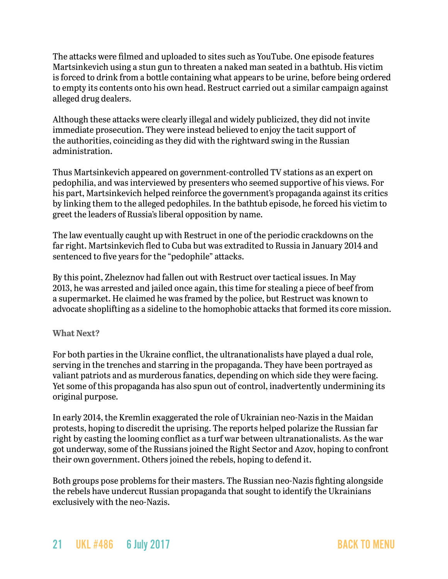The attacks were filmed and uploaded to sites such as YouTube. One episode features Martsinkevich using a stun gun to threaten a naked man seated in a bathtub. His victim is forced to drink from a bottle containing what appears to be urine, before being ordered to empty its contents onto his own head. Restruct carried out a similar campaign against alleged drug dealers.

Although these attacks were clearly illegal and widely publicized, they did not invite immediate prosecution. They were instead believed to enjoy the tacit support of the authorities, coinciding as they did with the rightward swing in the Russian administration.

Thus Martsinkevich appeared on government-controlled TV stations as an expert on pedophilia, and was interviewed by presenters who seemed supportive of his views. For his part, Martsinkevich helped reinforce the government's propaganda against its critics by linking them to the alleged pedophiles. In the bathtub episode, he forced his victim to greet the leaders of Russia's liberal opposition by name.

The law eventually caught up with Restruct in one of the periodic crackdowns on the far right. Martsinkevich fled to Cuba but was extradited to Russia in January 2014 and sentenced to five years for the "pedophile" attacks.

By this point, Zheleznov had fallen out with Restruct over tactical issues. In May 2013, he was arrested and jailed once again, this time for stealing a piece of beef from a supermarket. He claimed he was framed by the police, but Restruct was known to advocate shoplifting as a sideline to the homophobic attacks that formed its core mission.

#### **What Next?**

For both parties in the Ukraine conflict, the ultranationalists have played a dual role, serving in the trenches and starring in the propaganda. They have been portrayed as valiant patriots and as murderous fanatics, depending on which side they were facing. Yet some of this propaganda has also spun out of control, inadvertently undermining its original purpose.

In early 2014, the Kremlin exaggerated the role of Ukrainian neo-Nazis in the Maidan protests, hoping to discredit the uprising. The reports helped polarize the Russian far right by casting the looming conflict as a turf war between ultranationalists. As the war got underway, some of the Russians joined the Right Sector and Azov, hoping to confront their own government. Others joined the rebels, hoping to defend it.

Both groups pose problems for their masters. The Russian neo-Nazis fighting alongside the rebels have undercut Russian propaganda that sought to identify the Ukrainians exclusively with the neo-Nazis.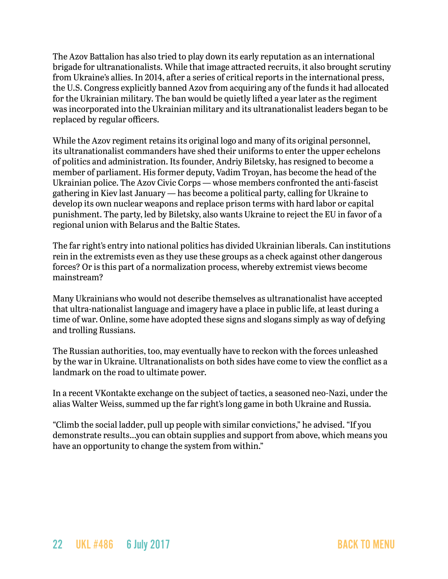The Azov Battalion has also tried to play down its early reputation as an international brigade for ultranationalists. While that image attracted recruits, it also brought scrutiny from Ukraine's allies. In 2014, after a series of critical reports in the international press, the U.S. Congress explicitly banned Azov from acquiring any of the funds it had allocated for the Ukrainian military. The ban would be quietly lifted a year later as the regiment was incorporated into the Ukrainian military and its ultranationalist leaders began to be replaced by regular officers.

While the Azov regiment retains its original logo and many of its original personnel, its ultranationalist commanders have shed their uniforms to enter the upper echelons of politics and administration. Its founder, Andriy Biletsky, has resigned to become a member of parliament. His former deputy, Vadim Troyan, has become the head of the Ukrainian police. The Azov Civic Corps — whose members confronted the anti-fascist gathering in Kiev last January — has become a political party, calling for Ukraine to develop its own nuclear weapons and replace prison terms with hard labor or capital punishment. The party, led by Biletsky, also wants Ukraine to reject the EU in favor of a regional union with Belarus and the Baltic States.

The far right's entry into national politics has divided Ukrainian liberals. Can institutions rein in the extremists even as they use these groups as a check against other dangerous forces? Or is this part of a normalization process, whereby extremist views become mainstream?

Many Ukrainians who would not describe themselves as ultranationalist have accepted that ultra-nationalist language and imagery have a place in public life, at least during a time of war. Online, some have adopted these signs and slogans simply as way of defying and trolling Russians.

The Russian authorities, too, may eventually have to reckon with the forces unleashed by the war in Ukraine. Ultranationalists on both sides have come to view the conflict as a landmark on the road to ultimate power.

In a recent VKontakte exchange on the subject of tactics, a seasoned neo-Nazi, under the alias Walter Weiss, summed up the far right's long game in both Ukraine and Russia.

"Climb the social ladder, pull up people with similar convictions," he advised. "If you demonstrate results...you can obtain supplies and support from above, which means you have an opportunity to change the system from within."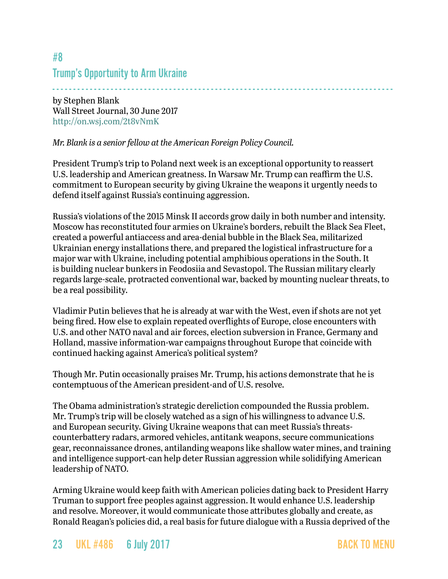## #8 Trump's Opportunity to Arm Ukraine

- - - - - - - - - - - - - - - - - - - - - - - - - - - - - - - - - - - - - - - - - - - - - - - - - - - - - - - - - - - - - - - - - - - - - - - - - - - - - - - - - by Stephen Blank Wall Street Journal, 30 June 2017 <http://on.wsj.com/2t8vNmK>

#### *Mr. Blank is a senior fellow at the American Foreign Policy Council.*

President Trump's trip to Poland next week is an exceptional opportunity to reassert U.S. leadership and American greatness. In Warsaw Mr. Trump can reaffirm the U.S. commitment to European security by giving Ukraine the weapons it urgently needs to defend itself against Russia's continuing aggression.

Russia's violations of the 2015 Minsk II accords grow daily in both number and intensity. Moscow has reconstituted four armies on Ukraine's borders, rebuilt the Black Sea Fleet, created a powerful antiaccess and area-denial bubble in the Black Sea, militarized Ukrainian energy installations there, and prepared the logistical infrastructure for a major war with Ukraine, including potential amphibious operations in the South. It is building nuclear bunkers in Feodosiia and Sevastopol. The Russian military clearly regards large-scale, protracted conventional war, backed by mounting nuclear threats, to be a real possibility.

Vladimir Putin believes that he is already at war with the West, even if shots are not yet being fired. How else to explain repeated overflights of Europe, close encounters with U.S. and other NATO naval and air forces, election subversion in France, Germany and Holland, massive information-war campaigns throughout Europe that coincide with continued hacking against America's political system?

Though Mr. Putin occasionally praises Mr. Trump, his actions demonstrate that he is contemptuous of the American president-and of U.S. resolve.

The Obama administration's strategic dereliction compounded the Russia problem. Mr. Trump's trip will be closely watched as a sign of his willingness to advance U.S. and European security. Giving Ukraine weapons that can meet Russia's threatscounterbattery radars, armored vehicles, antitank weapons, secure communications gear, reconnaissance drones, antilanding weapons like shallow water mines, and training and intelligence support-can help deter Russian aggression while solidifying American leadership of NATO.

Arming Ukraine would keep faith with American policies dating back to President Harry Truman to support free peoples against aggression. It would enhance U.S. leadership and resolve. Moreover, it would communicate those attributes globally and create, as Ronald Reagan's policies did, a real basis for future dialogue with a Russia deprived of the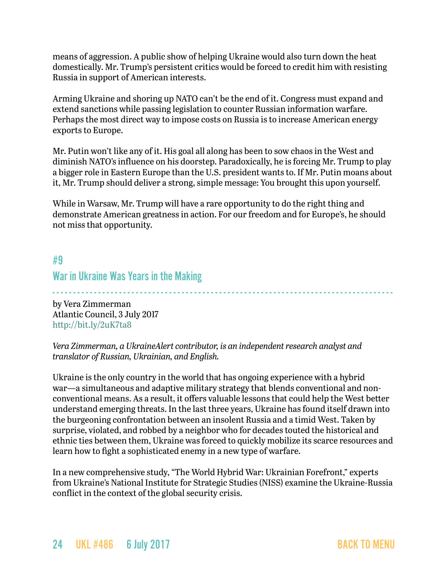means of aggression. A public show of helping Ukraine would also turn down the heat domestically. Mr. Trump's persistent critics would be forced to credit him with resisting Russia in support of American interests.

Arming Ukraine and shoring up NATO can't be the end of it. Congress must expand and extend sanctions while passing legislation to counter Russian information warfare. Perhaps the most direct way to impose costs on Russia is to increase American energy exports to Europe.

Mr. Putin won't like any of it. His goal all along has been to sow chaos in the West and diminish NATO's influence on his doorstep. Paradoxically, he is forcing Mr. Trump to play a bigger role in Eastern Europe than the U.S. president wants to. If Mr. Putin moans about it, Mr. Trump should deliver a strong, simple message: You brought this upon yourself.

While in Warsaw, Mr. Trump will have a rare opportunity to do the right thing and demonstrate American greatness in action. For our freedom and for Europe's, he should not miss that opportunity.

### <span id="page-23-0"></span>#9 War in Ukraine Was Years in the Making

- - - - - - - - - - - - - - - - - - - - - - - - - - - - - - - - - - - - - - - - - - - - - - - - - - - - - - - - - - - - - - - - - - - - - - - - - - - - - - - - - by Vera Zimmerman

Atlantic Council, 3 July 2017 <http://bit.ly/2uK7ta8>

*Vera Zimmerman, a UkraineAlert contributor, is an independent research analyst and translator of Russian, Ukrainian, and English.*

Ukraine is the only country in the world that has ongoing experience with a hybrid war—a simultaneous and adaptive military strategy that blends conventional and nonconventional means. As a result, it offers valuable lessons that could help the West better understand emerging threats. In the last three years, Ukraine has found itself drawn into the burgeoning confrontation between an insolent Russia and a timid West. Taken by surprise, violated, and robbed by a neighbor who for decades touted the historical and ethnic ties between them, Ukraine was forced to quickly mobilize its scarce resources and learn how to fight a sophisticated enemy in a new type of warfare.

In a new comprehensive study, "The World Hybrid War: Ukrainian Forefront," experts from Ukraine's National Institute for Strategic Studies (NISS) examine the Ukraine-Russia conflict in the context of the global security crisis.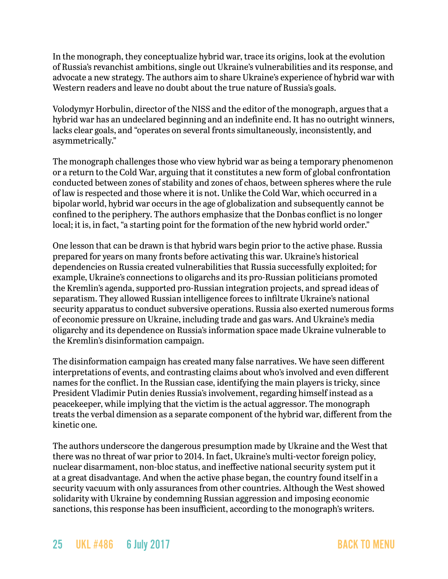In the monograph, they conceptualize hybrid war, trace its origins, look at the evolution of Russia's revanchist ambitions, single out Ukraine's vulnerabilities and its response, and advocate a new strategy. The authors aim to share Ukraine's experience of hybrid war with Western readers and leave no doubt about the true nature of Russia's goals.

Volodymyr Horbulin, director of the NISS and the editor of the monograph, argues that a hybrid war has an undeclared beginning and an indefinite end. It has no outright winners, lacks clear goals, and "operates on several fronts simultaneously, inconsistently, and asymmetrically."

The monograph challenges those who view hybrid war as being a temporary phenomenon or a return to the Cold War, arguing that it constitutes a new form of global confrontation conducted between zones of stability and zones of chaos, between spheres where the rule of law is respected and those where it is not. Unlike the Cold War, which occurred in a bipolar world, hybrid war occurs in the age of globalization and subsequently cannot be confined to the periphery. The authors emphasize that the Donbas conflict is no longer local; it is, in fact, "a starting point for the formation of the new hybrid world order."

One lesson that can be drawn is that hybrid wars begin prior to the active phase. Russia prepared for years on many fronts before activating this war. Ukraine's historical dependencies on Russia created vulnerabilities that Russia successfully exploited; for example, Ukraine's connections to oligarchs and its pro-Russian politicians promoted the Kremlin's agenda, supported pro-Russian integration projects, and spread ideas of separatism. They allowed Russian intelligence forces to infiltrate Ukraine's national security apparatus to conduct subversive operations. Russia also exerted numerous forms of economic pressure on Ukraine, including trade and gas wars. And Ukraine's media oligarchy and its dependence on Russia's information space made Ukraine vulnerable to the Kremlin's disinformation campaign.

The disinformation campaign has created many false narratives. We have seen different interpretations of events, and contrasting claims about who's involved and even different names for the conflict. In the Russian case, identifying the main players is tricky, since President Vladimir Putin denies Russia's involvement, regarding himself instead as a peacekeeper, while implying that the victim is the actual aggressor. The monograph treats the verbal dimension as a separate component of the hybrid war, different from the kinetic one.

The authors underscore the dangerous presumption made by Ukraine and the West that there was no threat of war prior to 2014. In fact, Ukraine's multi-vector foreign policy, nuclear disarmament, non-bloc status, and ineffective national security system put it at a great disadvantage. And when the active phase began, the country found itself in a security vacuum with only assurances from other countries. Although the West showed solidarity with Ukraine by condemning Russian aggression and imposing economic sanctions, this response has been insufficient, according to the monograph's writers.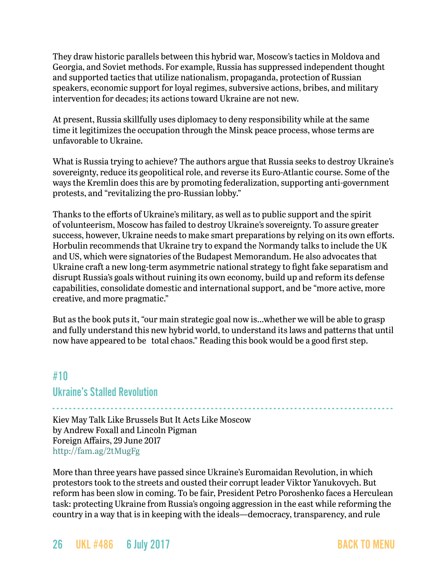They draw historic parallels between this hybrid war, Moscow's tactics in Moldova and Georgia, and Soviet methods. For example, Russia has suppressed independent thought and supported tactics that utilize nationalism, propaganda, protection of Russian speakers, economic support for loyal regimes, subversive actions, bribes, and military intervention for decades; its actions toward Ukraine are not new.

At present, Russia skillfully uses diplomacy to deny responsibility while at the same time it legitimizes the occupation through the Minsk peace process, whose terms are unfavorable to Ukraine.

What is Russia trying to achieve? The authors argue that Russia seeks to destroy Ukraine's sovereignty, reduce its geopolitical role, and reverse its Euro-Atlantic course. Some of the ways the Kremlin does this are by promoting federalization, supporting anti-government protests, and "revitalizing the pro-Russian lobby."

Thanks to the efforts of Ukraine's military, as well as to public support and the spirit of volunteerism, Moscow has failed to destroy Ukraine's sovereignty. To assure greater success, however, Ukraine needs to make smart preparations by relying on its own efforts. Horbulin recommends that Ukraine try to expand the Normandy talks to include the UK and US, which were signatories of the Budapest Memorandum. He also advocates that Ukraine craft a new long-term asymmetric national strategy to fight fake separatism and disrupt Russia's goals without ruining its own economy, build up and reform its defense capabilities, consolidate domestic and international support, and be "more active, more creative, and more pragmatic."

But as the book puts it, "our main strategic goal now is...whether we will be able to grasp and fully understand this new hybrid world, to understand its laws and patterns that until now have appeared to be total chaos." Reading this book would be a good first step.

# #10 Ukraine's Stalled Revolution

- - - - - - - - - - - - - - - - - - - - - - - - - - - - - - - - - - - - - - - - - - - - - - - - - - - - - - - - - - - - - - - - - - - - - - - - - - - - - - - - - - Kiev May Talk Like Brussels But It Acts Like Moscow by Andrew Foxall and Lincoln Pigman Foreign Affairs, 29 June 2017 <http://fam.ag/2tMugFg>

More than three years have passed since Ukraine's Euromaidan Revolution, in which protestors took to the streets and ousted their corrupt leader Viktor Yanukovych. But reform has been slow in coming. To be fair, President Petro Poroshenko faces a Herculean task: protecting Ukraine from Russia's ongoing aggression in the east while reforming the country in a way that is in keeping with the ideals—democracy, transparency, and rule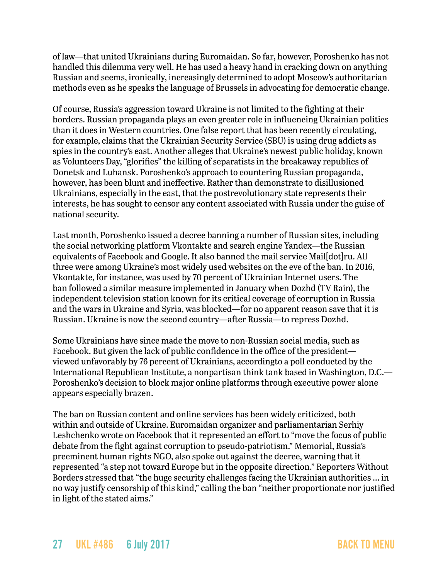of law—that united Ukrainians during Euromaidan. So far, however, Poroshenko has not handled this dilemma very well. He has used a heavy hand in cracking down on anything Russian and seems, ironically, increasingly determined to adopt Moscow's authoritarian methods even as he speaks the language of Brussels in advocating for democratic change.

Of course, Russia's aggression toward Ukraine is not limited to the fighting at their borders. Russian propaganda plays an even greater role in influencing Ukrainian politics than it does in Western countries. One false report that has been recently circulating, for example, claims that the Ukrainian Security Service (SBU) is using drug addicts as spies in the country's east. Another alleges that Ukraine's newest public holiday, known as Volunteers Day, "glorifies" the killing of separatists in the breakaway republics of Donetsk and Luhansk. Poroshenko's approach to countering Russian propaganda, however, has been blunt and ineffective. Rather than demonstrate to disillusioned Ukrainians, especially in the east, that the postrevolutionary state represents their interests, he has sought to censor any content associated with Russia under the guise of national security.

Last month, Poroshenko issued a decree banning a number of Russian sites, including the social networking platform Vkontakte and search engine Yandex—the Russian equivalents of Facebook and Google. It also banned the mail service Mail[dot]ru. All three were among Ukraine's most widely used websites on the eve of the ban. In 2016, Vkontakte, for instance, was used by 70 percent of Ukrainian Internet users. The ban followed a similar measure implemented in January when Dozhd (TV Rain), the independent television station known for its critical coverage of corruption in Russia and the wars in Ukraine and Syria, was blocked—for no apparent reason save that it is Russian. Ukraine is now the second country—after Russia—to repress Dozhd.

Some Ukrainians have since made the move to non-Russian social media, such as Facebook. But given the lack of public confidence in the office of the president viewed unfavorably by 76 percent of Ukrainians, accordingto a poll conducted by the International Republican Institute, a nonpartisan think tank based in Washington, D.C.— Poroshenko's decision to block major online platforms through executive power alone appears especially brazen.

The ban on Russian content and online services has been widely criticized, both within and outside of Ukraine. Euromaidan organizer and parliamentarian Serhiy Leshchenko wrote on Facebook that it represented an effort to "move the focus of public debate from the fight against corruption to pseudo-patriotism." Memorial, Russia's preeminent human rights NGO, also spoke out against the decree, warning that it represented "a step not toward Europe but in the opposite direction." Reporters Without Borders stressed that "the huge security challenges facing the Ukrainian authorities … in no way justify censorship of this kind," calling the ban "neither proportionate nor justified in light of the stated aims."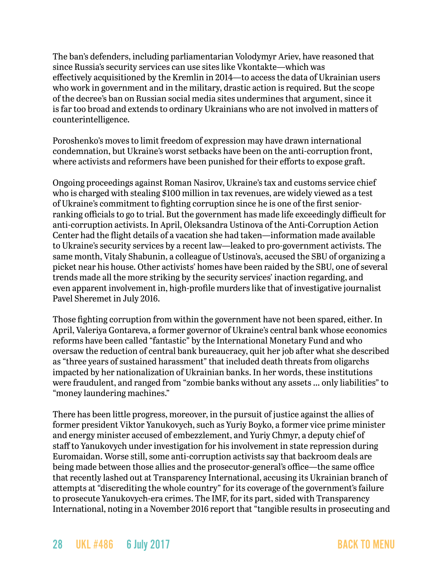The ban's defenders, including parliamentarian Volodymyr Ariev, have reasoned that since Russia's security services can use sites like Vkontakte—which was effectively acquisitioned by the Kremlin in 2014—to access the data of Ukrainian users who work in government and in the military, drastic action is required. But the scope of the decree's ban on Russian social media sites undermines that argument, since it is far too broad and extends to ordinary Ukrainians who are not involved in matters of counterintelligence.

Poroshenko's moves to limit freedom of expression may have drawn international condemnation, but Ukraine's worst setbacks have been on the anti-corruption front, where activists and reformers have been punished for their efforts to expose graft.

Ongoing proceedings against Roman Nasirov, Ukraine's tax and customs service chief who is charged with stealing \$100 million in tax revenues, are widely viewed as a test of Ukraine's commitment to fighting corruption since he is one of the first seniorranking officials to go to trial. But the government has made life exceedingly difficult for anti-corruption activists. In April, Oleksandra Ustinova of the Anti-Corruption Action Center had the flight details of a vacation she had taken—information made available to Ukraine's security services by a recent law—leaked to pro-government activists. The same month, Vitaly Shabunin, a colleague of Ustinova's, accused the SBU of organizing a picket near his house. Other activists' homes have been raided by the SBU, one of several trends made all the more striking by the security services' inaction regarding, and even apparent involvement in, high-profile murders like that of investigative journalist Pavel Sheremet in July 2016.

Those fighting corruption from within the government have not been spared, either. In April, Valeriya Gontareva, a former governor of Ukraine's central bank whose economics reforms have been called "fantastic" by the International Monetary Fund and who oversaw the reduction of central bank bureaucracy, quit her job after what she described as "three years of sustained harassment" that included death threats from oligarchs impacted by her nationalization of Ukrainian banks. In her words, these institutions were fraudulent, and ranged from "zombie banks without any assets … only liabilities" to "money laundering machines."

There has been little progress, moreover, in the pursuit of justice against the allies of former president Viktor Yanukovych, such as Yuriy Boyko, a former vice prime minister and energy minister accused of embezzlement, and Yuriy Chmyr, a deputy chief of staff to Yanukovych under investigation for his involvement in state repression during Euromaidan. Worse still, some anti-corruption activists say that backroom deals are being made between those allies and the prosecutor-general's office—the same office that recently lashed out at Transparency International, accusing its Ukrainian branch of attempts at "discrediting the whole country" for its coverage of the government's failure to prosecute Yanukovych-era crimes. The IMF, for its part, sided with Transparency International, noting in a November 2016 report that "tangible results in prosecuting and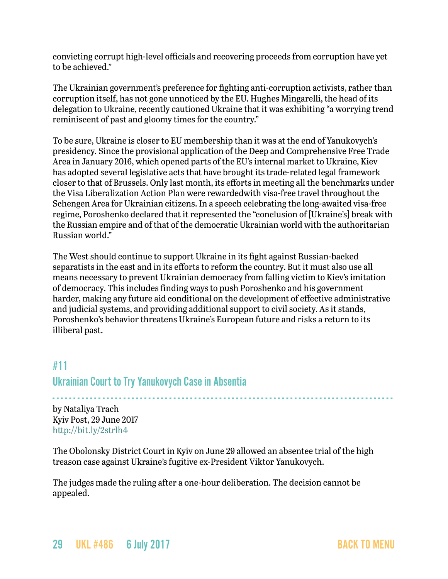convicting corrupt high-level officials and recovering proceeds from corruption have yet to be achieved."

The Ukrainian government's preference for fighting anti-corruption activists, rather than corruption itself, has not gone unnoticed by the EU. Hughes Mingarelli, the head of its delegation to Ukraine, recently cautioned Ukraine that it was exhibiting "a worrying trend reminiscent of past and gloomy times for the country."

To be sure, Ukraine is closer to EU membership than it was at the end of Yanukovych's presidency. Since the provisional application of the Deep and Comprehensive Free Trade Area in January 2016, which opened parts of the EU's internal market to Ukraine, Kiev has adopted several legislative acts that have brought its trade-related legal framework closer to that of Brussels. Only last month, its efforts in meeting all the benchmarks under the Visa Liberalization Action Plan were rewardedwith visa-free travel throughout the Schengen Area for Ukrainian citizens. In a speech celebrating the long-awaited visa-free regime, Poroshenko declared that it represented the "conclusion of [Ukraine's] break with the Russian empire and of that of the democratic Ukrainian world with the authoritarian Russian world."

The West should continue to support Ukraine in its fight against Russian-backed separatists in the east and in its efforts to reform the country. But it must also use all means necessary to prevent Ukrainian democracy from falling victim to Kiev's imitation of democracy. This includes finding ways to push Poroshenko and his government harder, making any future aid conditional on the development of effective administrative and judicial systems, and providing additional support to civil society. As it stands, Poroshenko's behavior threatens Ukraine's European future and risks a return to its illiberal past.

### <span id="page-28-0"></span>#11 Ukrainian Court to Try Yanukovych Case in Absentia

- - - - - - - - - - - - - - - - - - - - - - - - - - - - - - - - - - - - - - - - - - - - - - - - - - - - - - - - - - - - - - - - - - - - - - - - - - - - - - - - - by Nataliya Trach Kyiv Post, 29 June 2017 <http://bit.ly/2strlh4>

The Obolonsky District Court in Kyiv on June 29 allowed an absentee trial of the high treason case against Ukraine's fugitive ex-President Viktor Yanukovych.

The judges made the ruling after a one-hour deliberation. The decision cannot be appealed.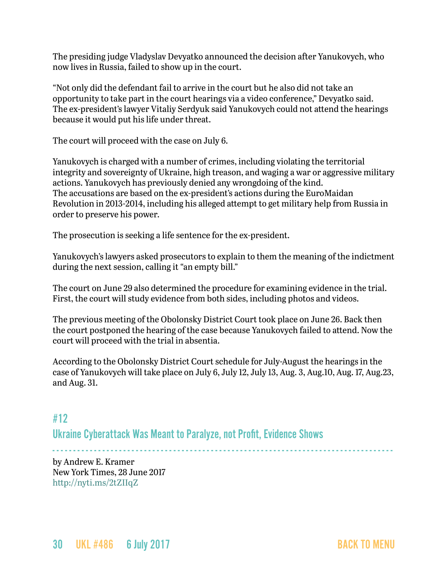The presiding judge Vladyslav Devyatko announced the decision after Yanukovych, who now lives in Russia, failed to show up in the court.

"Not only did the defendant fail to arrive in the court but he also did not take an opportunity to take part in the court hearings via a video conference," Devyatko said. The ex-president's lawyer Vitaliy Serdyuk said Yanukovych could not attend the hearings because it would put his life under threat.

The court will proceed with the case on July 6.

Yanukovych is charged with a number of crimes, including violating the territorial integrity and sovereignty of Ukraine, high treason, and waging a war or aggressive military actions. Yanukovych has previously denied any wrongdoing of the kind. The accusations are based on the ex-president's actions during the EuroMaidan Revolution in 2013-2014, including his alleged attempt to get military help from Russia in order to preserve his power.

The prosecution is seeking a life sentence for the ex-president.

Yanukovych's lawyers asked prosecutors to explain to them the meaning of the indictment during the next session, calling it "an empty bill."

The court on June 29 also determined the procedure for examining evidence in the trial. First, the court will study evidence from both sides, including photos and videos.

The previous meeting of the Obolonsky District Court took place on June 26. Back then the court postponed the hearing of the case because Yanukovych failed to attend. Now the court will proceed with the trial in absentia.

According to the Obolonsky District Court schedule for July-August the hearings in the case of Yanukovych will take place on July 6, July 12, July 13, Aug. 3, Aug.10, Aug. 17, Aug.23, and Aug. 31.

### <span id="page-29-0"></span>#12

Ukraine Cyberattack Was Meant to Paralyze, not Profit, Evidence Shows

- - - - - - - - - - - - - - - - - - - - - - - - - - - - - - - - - - - - - - - - - - - - - - - - - - - - - - - - - - - - - - - - - - - - - - - - - - - - - - - - - -

by Andrew E. Kramer New York Times, 28 June 2017 <http://nyti.ms/2tZIIqZ>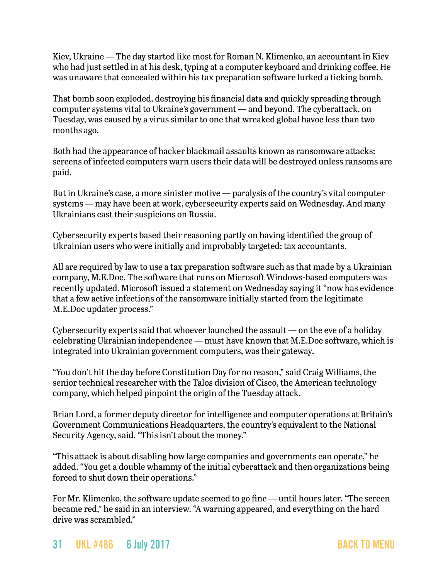Kiev, Ukraine — The day started like most for Roman N. Klimenko, an accountant in Kiev who had just settled in at his desk, typing at a computer keyboard and drinking coffee. He was unaware that concealed within his tax preparation software lurked a ticking bomb.

That bomb soon exploded, destroying his financial data and quickly spreading through computer systems vital to Ukraine's government — and beyond. The cyberattack, on Tuesday, was caused by a virus similar to one that wreaked global havoc less than two months ago.

Both had the appearance of hacker blackmail assaults known as ransomware attacks: screens of infected computers warn users their data will be destroyed unless ransoms are paid.

But in Ukraine's case, a more sinister motive — paralysis of the country's vital computer systems — may have been at work, cybersecurity experts said on Wednesday. And many Ukrainians cast their suspicions on Russia.

Cybersecurity experts based their reasoning partly on having identified the group of Ukrainian users who were initially and improbably targeted: tax accountants.

All are required by law to use a tax preparation software such as that made by a Ukrainian company, M.E.Doc. The software that runs on [Microsoft](http://www.nytimes.com/topic/company/microsoft-corporation?inline=nyt-org) Windows-based computers was recently updated. Microsoft issued a statement on Wednesday saying it "now has evidence that a few active infections of the ransomware initially started from the legitimate M.E.Doc updater process."

Cybersecurity experts said that whoever launched the assault — on the eve of a holiday celebrating Ukrainian independence — must have known that M.E.Doc software, which is integrated into Ukrainian government computers, was their gateway.

"You don't hit the day before Constitution Day for no reason," said Craig Williams, the senior technical researcher with the Talos division of Cisco, the American technology company, which helped pinpoint the origin of the Tuesday attack.

Brian Lord, a former deputy director for intelligence and computer operations at Britain's Government Communications Headquarters, the country's equivalent to the National Security Agency, said, "This isn't about the money."

"This attack is about disabling how large companies and governments can operate," he added. "You get a double whammy of the initial cyberattack and then organizations being forced to shut down their operations."

For Mr. Klimenko, the software update seemed to go fine — until hours later. "The screen became red," he said in an interview. "A warning appeared, and everything on the hard drive was scrambled."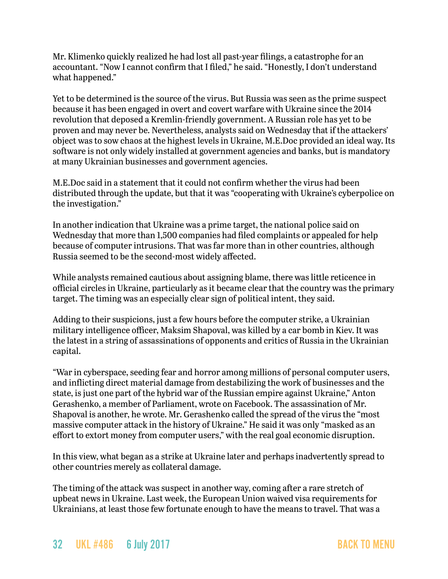Mr. Klimenko quickly realized he had lost all past-year filings, a catastrophe for an accountant. "Now I cannot confirm that I filed," he said. "Honestly, I don't understand what happened."

Yet to be determined is the source of the virus. But Russia was seen as the prime suspect because it has been engaged in overt and covert warfare with Ukraine since the 2014 revolution that deposed a Kremlin-friendly government. A Russian role has yet to be proven and may never be. Nevertheless, analysts said on Wednesday that if the attackers' object was to sow chaos at the highest levels in Ukraine, M.E.Doc provided an ideal way. Its software is not only widely installed at government agencies and banks, but is mandatory at many Ukrainian businesses and government agencies.

M.E.Doc said in a statement that it could not confirm whether the virus had been distributed through the update, but that it was "cooperating with Ukraine's cyberpolice on the investigation."

In another indication that Ukraine was a prime target, the national police said on Wednesday that more than 1,500 companies had filed complaints or appealed for help because of computer intrusions. That was far more than in other countries, although Russia seemed to be the second-most widely affected.

While analysts remained cautious about assigning blame, there was little reticence in official circles in Ukraine, particularly as it became clear that the country was the primary target. The timing was an especially clear sign of political intent, they said.

Adding to their suspicions, just a few hours before the computer strike, a Ukrainian military intelligence officer, Maksim Shapoval, was killed by a car bomb in Kiev. It was the latest in a string of assassinations of opponents and critics of Russia in the Ukrainian capital.

"War in cyberspace, seeding fear and horror among millions of personal computer users, and inflicting direct material damage from destabilizing the work of businesses and the state, is just one part of the hybrid war of the Russian empire against Ukraine," Anton Gerashenko, a member of Parliament, wrote on Facebook. The assassination of Mr. Shapoval is another, he wrote. Mr. Gerashenko called the spread of the virus the "most massive computer attack in the history of Ukraine." He said it was only "masked as an effort to extort money from computer users," with the real goal economic disruption.

In this view, what began as a strike at Ukraine later and perhaps inadvertently spread to other countries merely as collateral damage.

The timing of the attack was suspect in another way, coming after a rare stretch of upbeat news in Ukraine. Last week, the European Union waived visa requirements for Ukrainians, at least those few fortunate enough to have the means to travel. That was a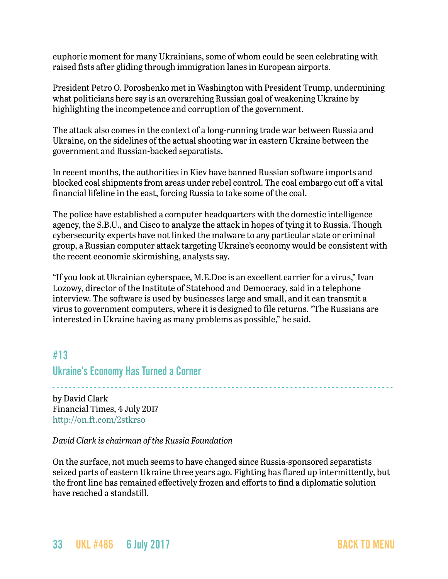euphoric moment for many Ukrainians, some of whom could be seen celebrating with raised fists after gliding through immigration lanes in European airports.

President Petro O. Poroshenko met in Washington with President Trump, undermining what politicians here say is an overarching Russian goal of weakening Ukraine by highlighting the incompetence and corruption of the government.

The attack also comes in the context of a long-running trade war between Russia and Ukraine, on the sidelines of the actual shooting war in eastern Ukraine between the government and Russian-backed separatists.

In recent months, the authorities in Kiev have banned Russian software imports and blocked coal shipments from areas under rebel control. The coal embargo cut off a vital financial lifeline in the east, forcing Russia to take some of the coal.

The police have established a computer headquarters with the domestic intelligence agency, the S.B.U., and Cisco to analyze the attack in hopes of tying it to Russia. Though cybersecurity experts have not linked the malware to any particular state or criminal group, a Russian computer attack targeting Ukraine's economy would be consistent with the recent economic skirmishing, analysts say.

"If you look at Ukrainian cyberspace, M.E.Doc is an excellent carrier for a virus," Ivan Lozowy, director of the Institute of Statehood and Democracy, said in a telephone interview. The software is used by businesses large and small, and it can transmit a virus to government computers, where it is designed to file returns. "The Russians are interested in Ukraine having as many problems as possible," he said.

## #13 Ukraine's Economy Has Turned a Corner

- - - - - - - - - - - - - - - - - - - - - - - - - - - - - - - - - - - - - - - - - - - - - - - - - - - - - - - - - - - - - - - - - - - - - - - - - - - - - - - - - -

by David Clark Financial Times, 4 July 2017 <http://on.ft.com/2stkrso>

### *David Clark is chairman of the Russia Foundation*

On the surface, not much seems to have changed since Russia-sponsored separatists seized parts of eastern Ukraine three years ago. Fighting has flared up intermittently, but the front line has remained effectively frozen and efforts to find a diplomatic solution have reached a standstill.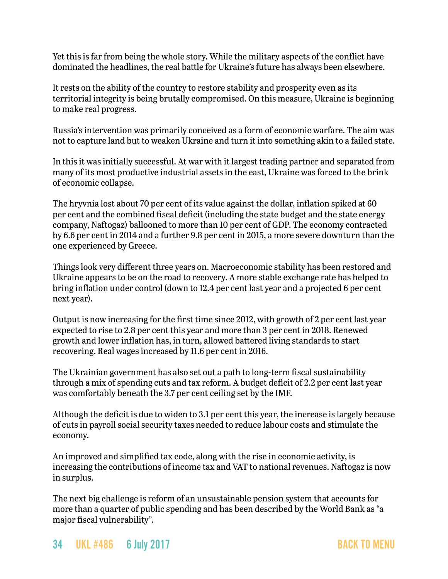Yet this is far from being the whole story. While the military aspects of the conflict have dominated the headlines, the real battle for Ukraine's future has always been elsewhere.

It rests on the ability of the country to restore stability and prosperity even as its territorial integrity is being brutally compromised. On this measure, Ukraine is beginning to make real progress.

Russia's intervention was primarily conceived as a form of economic warfare. The aim was not to capture land but to weaken Ukraine and turn it into something akin to a failed state.

In this it was initially successful. At war with it largest trading partner and separated from many of its most productive industrial assets in the east, Ukraine was forced to the brink of economic collapse.

The hryvnia lost about 70 per cent of its value against the dollar, inflation spiked at 60 per cent and the combined fiscal deficit (including the state budget and the state energy company, Naftogaz) ballooned to more than 10 per cent of GDP. The economy contracted by 6.6 per cent in 2014 and a further 9.8 per cent in 2015, a more severe downturn than the one experienced by Greece.

Things look very different three years on. Macroeconomic stability has been restored and Ukraine appears to be on the road to recovery. A more stable exchange rate has helped to bring inflation under control (down to 12.4 per cent last year and a projected 6 per cent next year).

Output is now increasing for the first time since 2012, with growth of 2 per cent last year expected to rise to 2.8 per cent this year and more than 3 per cent in 2018. Renewed growth and lower inflation has, in turn, allowed battered living standards to start recovering. Real wages increased by 11.6 per cent in 2016.

The Ukrainian government has also set out a path to long-term fiscal sustainability through a mix of spending cuts and tax reform. A budget deficit of 2.2 per cent last year was comfortably beneath the 3.7 per cent ceiling set by the IMF.

Although the deficit is due to widen to 3.1 per cent this year, the increase is largely because of cuts in payroll social security taxes needed to reduce labour costs and stimulate the economy.

An improved and simplified tax code, along with the rise in economic activity, is increasing the contributions of income tax and VAT to national revenues. Naftogaz is now in surplus.

The next big challenge is reform of an unsustainable pension system that accounts for more than a quarter of public spending and has been described by the World Bank as "a major fiscal vulnerability".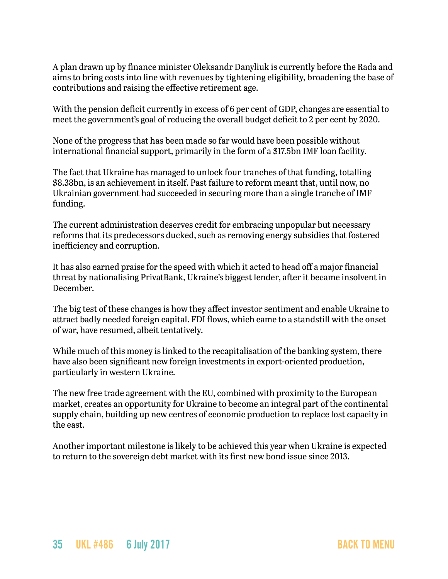A plan drawn up by finance minister Oleksandr Danyliuk is currently before the Rada and aims to bring costs into line with revenues by tightening eligibility, broadening the base of contributions and raising the effective retirement age.

With the pension deficit currently in excess of 6 per cent of GDP, changes are essential to meet the government's goal of reducing the overall budget deficit to 2 per cent by 2020.

None of the progress that has been made so far would have been possible without international financial support, primarily in the form of a \$17.5bn IMF loan facility.

The fact that Ukraine has managed to unlock four tranches of that funding, totalling \$8.38bn, is an achievement in itself. Past failure to reform meant that, until now, no Ukrainian government had succeeded in securing more than a single tranche of IMF funding.

The current administration deserves credit for embracing unpopular but necessary reforms that its predecessors ducked, such as removing energy subsidies that fostered inefficiency and corruption.

It has also earned praise for the speed with which it acted to head off a major financial threat by nationalising PrivatBank, Ukraine's biggest lender, after it became insolvent in December.

The big test of these changes is how they affect investor sentiment and enable Ukraine to attract badly needed foreign capital. FDI flows, which came to a standstill with the onset of war, have resumed, albeit tentatively.

While much of this money is linked to the recapitalisation of the banking system, there have also been significant new foreign investments in export-oriented production, particularly in western Ukraine.

The new free trade agreement with the EU, combined with proximity to the European market, creates an opportunity for Ukraine to become an integral part of the continental supply chain, building up new centres of economic production to replace lost capacity in the east.

Another important milestone is likely to be achieved this year when Ukraine is expected to return to the sovereign debt market with its first new bond issue since 2013.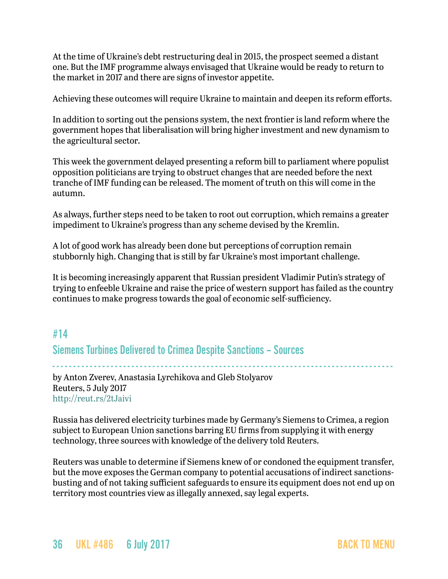At the time of Ukraine's debt restructuring deal in 2015, the prospect seemed a distant one. But the IMF programme always envisaged that Ukraine would be ready to return to the market in 2017 and there are signs of investor appetite.

Achieving these outcomes will require Ukraine to maintain and deepen its reform efforts.

In addition to sorting out the pensions system, the next frontier is land reform where the government hopes that liberalisation will bring higher investment and new dynamism to the agricultural sector.

This week the government delayed presenting a reform bill to parliament where populist opposition politicians are trying to obstruct changes that are needed before the next tranche of IMF funding can be released. The moment of truth on this will come in the autumn.

As always, further steps need to be taken to root out corruption, which remains a greater impediment to Ukraine's progress than any scheme devised by the Kremlin.

A lot of good work has already been done but perceptions of corruption remain stubbornly high. Changing that is still by far Ukraine's most important challenge.

It is becoming increasingly apparent that Russian president Vladimir Putin's strategy of trying to enfeeble Ukraine and raise the price of western support has failed as the country continues to make progress towards the goal of economic self-sufficiency.

## <span id="page-35-0"></span>#14

Siemens Turbines Delivered to Crimea Despite Sanctions – Sources

- - - - - - - - - - - - - - - - - - - - - - - - - - - - - - - - - - - - - - - - - - - - - - - - - - - - - - - - - - - - - - - - - - - - - - - - - - - - - - - - - -

by Anton Zverev, Anastasia Lyrchikova and Gleb Stolyarov Reuters, 5 July 2017 <http://reut.rs/2tJaivi>

Russia has delivered electricity turbines made by Germany's Siemens to Crimea, a region subject to European Union sanctions barring EU firms from supplying it with energy technology, three sources with knowledge of the delivery told Reuters.

Reuters was unable to determine if Siemens knew of or condoned the equipment transfer, but the move exposes the German company to potential accusations of indirect sanctionsbusting and of not taking sufficient safeguards to ensure its equipment does not end up on territory most countries view as illegally annexed, say legal experts.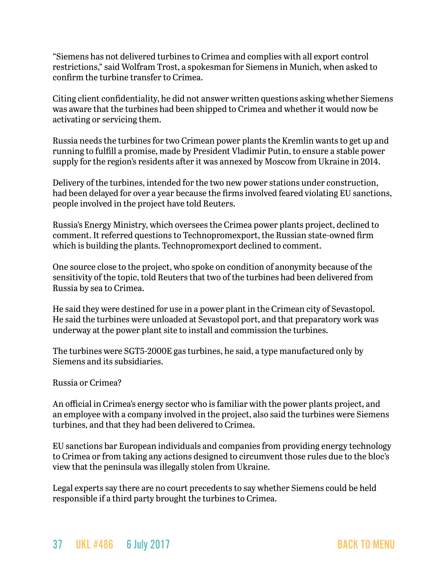"Siemens has not delivered turbines to Crimea and complies with all export control restrictions," said Wolfram Trost, a spokesman for Siemens in Munich, when asked to confirm the turbine transfer to Crimea.

Citing client confidentiality, he did not answer written questions asking whether Siemens was aware that the turbines had been shipped to Crimea and whether it would now be activating or servicing them.

Russia needs the turbines for two Crimean power plants the Kremlin wants to get up and running to fulfill a promise, made by President Vladimir Putin, to ensure a stable power supply for the region's residents after it was annexed by Moscow from Ukraine in 2014.

Delivery of the turbines, intended for the two new power stations under construction, had been delayed for over a year because the firms involved feared violating EU sanctions, people involved in the project have told Reuters.

Russia's Energy Ministry, which oversees the Crimea power plants project, declined to comment. It referred questions to Technopromexport, the Russian state-owned firm which is building the plants. Technopromexport declined to comment.

One source close to the project, who spoke on condition of anonymity because of the sensitivity of the topic, told Reuters that two of the turbines had been delivered from Russia by sea to Crimea.

He said they were destined for use in a power plant in the Crimean city of Sevastopol. He said the turbines were unloaded at Sevastopol port, and that preparatory work was underway at the power plant site to install and commission the turbines.

The turbines were SGT5-2000E gas turbines, he said, a type manufactured only by Siemens and its subsidiaries.

Russia or Crimea?

An official in Crimea's energy sector who is familiar with the power plants project, and an employee with a company involved in the project, also said the turbines were Siemens turbines, and that they had been delivered to Crimea.

EU sanctions bar European individuals and companies from providing energy technology to Crimea or from taking any actions designed to circumvent those rules due to the bloc's view that the peninsula was illegally stolen from Ukraine.

Legal experts say there are no court precedents to say whether Siemens could be held responsible if a third party brought the turbines to Crimea.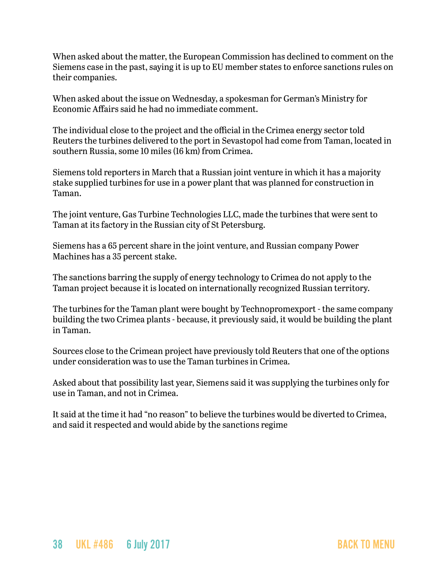When asked about the matter, the European Commission has declined to comment on the Siemens case in the past, saying it is up to EU member states to enforce sanctions rules on their companies.

When asked about the issue on Wednesday, a spokesman for German's Ministry for Economic Affairs said he had no immediate comment.

The individual close to the project and the official in the Crimea energy sector told Reuters the turbines delivered to the port in Sevastopol had come from Taman, located in southern Russia, some 10 miles (16 km) from Crimea.

Siemens told reporters in March that a Russian joint venture in which it has a majority stake supplied turbines for use in a power plant that was planned for construction in Taman.

The joint venture, Gas Turbine Technologies LLC, made the turbines that were sent to Taman at its factory in the Russian city of St Petersburg.

Siemens has a 65 percent share in the joint venture, and Russian company Power Machines has a 35 percent stake.

The sanctions barring the supply of energy technology to Crimea do not apply to the Taman project because it is located on internationally recognized Russian territory.

The turbines for the Taman plant were bought by Technopromexport - the same company building the two Crimea plants - because, it previously said, it would be building the plant in Taman.

Sources close to the Crimean project have previously told Reuters that one of the options under consideration was to use the Taman turbines in Crimea.

Asked about that possibility last year, Siemens said it was supplying the turbines only for use in Taman, and not in Crimea.

It said at the time it had "no reason" to believe the turbines would be diverted to Crimea, and said it respected and would abide by the sanctions regime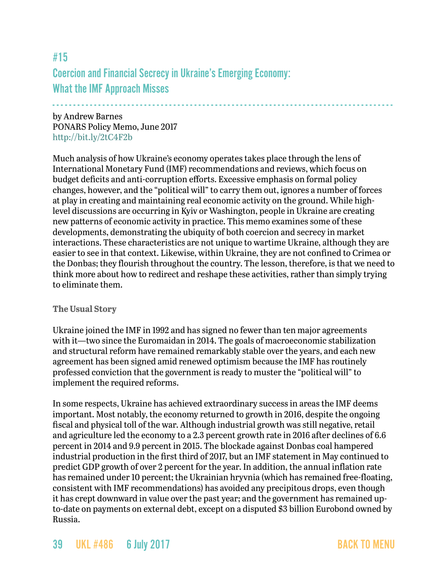# #15 Coercion and Financial Secrecy in Ukraine's Emerging Economy: What the IMF Approach Misses

- - - - - - - - - - - - - - - - - - - - - - - - - - - - - - - - - - - - - - - - - - - - - - - - - - - - - - - - - - - - - - - - - - - - - - - - - - - - - - - - - by Andrew Barnes PONARS Policy Memo, June 2017 <http://bit.ly/2tC4F2b>

Much analysis of how Ukraine's economy operates takes place through the lens of International Monetary Fund (IMF) recommendations and reviews, which focus on budget deficits and anti-corruption efforts. Excessive emphasis on formal policy changes, however, and the "political will" to carry them out, ignores a number of forces at play in creating and maintaining real economic activity on the ground. While highlevel discussions are occurring in Kyiv or Washington, people in Ukraine are creating new patterns of economic activity in practice. This memo examines some of these developments, demonstrating the ubiquity of both coercion and secrecy in market interactions. These characteristics are not unique to wartime Ukraine, although they are easier to see in that context. Likewise, within Ukraine, they are not confined to Crimea or the Donbas; they flourish throughout the country. The lesson, therefore, is that we need to think more about how to redirect and reshape these activities, rather than simply trying to eliminate them.

### **The Usual Story**

Ukraine joined the IMF in 1992 and has signed no fewer than ten major agreements with it—two since the Euromaidan in 2014. The goals of macroeconomic stabilization and structural reform have remained remarkably stable over the years, and each new agreement has been signed amid renewed optimism because the IMF has routinely professed conviction that the government is ready to muster the "political will" to implement the required reforms.

In some respects, Ukraine has achieved extraordinary success in areas the IMF deems important. Most notably, the economy returned to growth in 2016, despite the ongoing fiscal and physical toll of the war. Although industrial growth was still negative, retail and agriculture led the economy to a 2.3 percent growth rate in 2016 after declines of 6.6 percent in 2014 and 9.9 percent in 2015. The blockade against Donbas coal hampered industrial production in the first third of 2017, but an IMF statement in May continued to predict GDP growth of over 2 percent for the year. In addition, the annual inflation rate has remained under 10 percent; the Ukrainian hryvnia (which has remained free-floating, consistent with IMF recommendations) has avoided any precipitous drops, even though it has crept downward in value over the past year; and the government has remained upto-date on payments on external debt, except on a disputed \$3 billion Eurobond owned by Russia.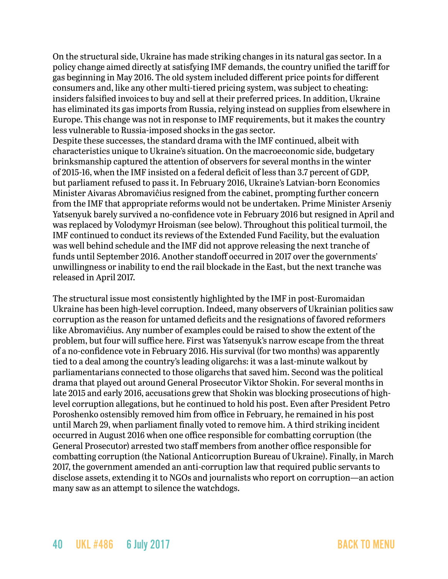On the structural side, Ukraine has made striking changes in its natural gas sector. In a policy change aimed directly at satisfying IMF demands, the country unified the tariff for gas beginning in May 2016. The old system included different price points for different consumers and, like any other multi-tiered pricing system, was subject to cheating: insiders falsified invoices to buy and sell at their preferred prices. In addition, Ukraine has eliminated its gas imports from Russia, relying instead on supplies from elsewhere in Europe. This change was not in response to IMF requirements, but it makes the country less vulnerable to Russia-imposed shocks in the gas sector.

Despite these successes, the standard drama with the IMF continued, albeit with characteristics unique to Ukraine's situation. On the macroeconomic side, budgetary brinksmanship captured the attention of observers for several months in the winter of 2015-16, when the IMF insisted on a federal deficit of less than 3.7 percent of GDP, but parliament refused to pass it. In February 2016, Ukraine's Latvian-born Economics Minister Aivaras Abromaviĉius resigned from the cabinet, prompting further concern from the IMF that appropriate reforms would not be undertaken. Prime Minister Arseniy Yatsenyuk barely survived a no-confidence vote in February 2016 but resigned in April and was replaced by Volodymyr Hroisman (see below). Throughout this political turmoil, the IMF continued to conduct its reviews of the Extended Fund Facility, but the evaluation was well behind schedule and the IMF did not approve releasing the next tranche of funds until September 2016. Another standoff occurred in 2017 over the governments' unwillingness or inability to end the rail blockade in the East, but the next tranche was released in April 2017.

The structural issue most consistently highlighted by the IMF in post-Euromaidan Ukraine has been high-level corruption. Indeed, many observers of Ukrainian politics saw corruption as the reason for untamed deficits and the resignations of favored reformers like Abromaviĉius. Any number of examples could be raised to show the extent of the problem, but four will suffice here. First was Yatsenyuk's narrow escape from the threat of a no-confidence vote in February 2016. His survival (for two months) was apparently tied to a deal among the country's leading oligarchs: it was a last-minute walkout by parliamentarians connected to those oligarchs that saved him. Second was the political drama that played out around General Prosecutor Viktor Shokin. For several months in late 2015 and early 2016, accusations grew that Shokin was blocking prosecutions of highlevel corruption allegations, but he continued to hold his post. Even after President Petro Poroshenko ostensibly removed him from office in February, he remained in his post until March 29, when parliament finally voted to remove him. A third striking incident occurred in August 2016 when one office responsible for combatting corruption (the General Prosecutor) arrested two staff members from another office responsible for combatting corruption (the National Anticorruption Bureau of Ukraine). Finally, in March 2017, the government amended an anti-corruption law that required public servants to disclose assets, extending it to NGOs and journalists who report on corruption—an action many saw as an attempt to silence the watchdogs.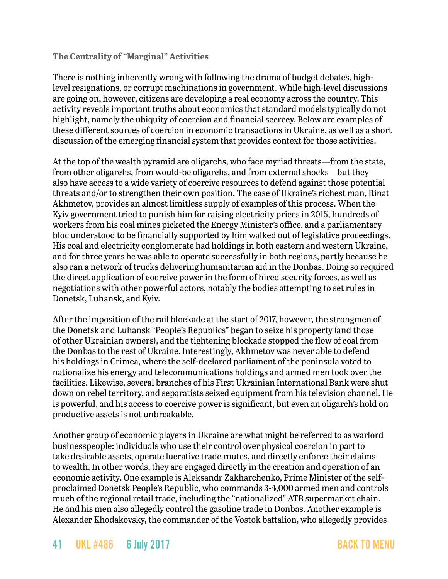#### **The Centrality of "Marginal" Activities**

There is nothing inherently wrong with following the drama of budget debates, highlevel resignations, or corrupt machinations in government. While high-level discussions are going on, however, citizens are developing a real economy across the country. This activity reveals important truths about economics that standard models typically do not highlight, namely the ubiquity of coercion and financial secrecy. Below are examples of these different sources of coercion in economic transactions in Ukraine, as well as a short discussion of the emerging financial system that provides context for those activities.

At the top of the wealth pyramid are oligarchs, who face myriad threats—from the state, from other oligarchs, from would-be oligarchs, and from external shocks—but they also have access to a wide variety of coercive resources to defend against those potential threats and/or to strengthen their own position. The case of Ukraine's richest man, Rinat Akhmetov, provides an almost limitless supply of examples of this process. When the Kyiv government tried to punish him for raising electricity prices in 2015, hundreds of workers from his coal mines picketed the Energy Minister's office, and a parliamentary bloc understood to be financially supported by him walked out of legislative proceedings. His coal and electricity conglomerate had holdings in both eastern and western Ukraine, and for three years he was able to operate successfully in both regions, partly because he also ran a network of trucks delivering humanitarian aid in the Donbas. Doing so required the direct application of coercive power in the form of hired security forces, as well as negotiations with other powerful actors, notably the bodies attempting to set rules in Donetsk, Luhansk, and Kyiv.

After the imposition of the rail blockade at the start of 2017, however, the strongmen of the Donetsk and Luhansk "People's Republics" began to seize his property (and those of other Ukrainian owners), and the tightening blockade stopped the flow of coal from the Donbas to the rest of Ukraine. Interestingly, Akhmetov was never able to defend his holdings in Crimea, where the self-declared parliament of the peninsula voted to nationalize his energy and telecommunications holdings and armed men took over the facilities. Likewise, several branches of his First Ukrainian International Bank were shut down on rebel territory, and separatists seized equipment from his television channel. He is powerful, and his access to coercive power is significant, but even an oligarch's hold on productive assets is not unbreakable.

Another group of economic players in Ukraine are what might be referred to as warlord businesspeople: individuals who use their control over physical coercion in part to take desirable assets, operate lucrative trade routes, and directly enforce their claims to wealth. In other words, they are engaged directly in the creation and operation of an economic activity. One example is Aleksandr Zakharchenko, Prime Minister of the selfproclaimed Donetsk People's Republic, who commands 3-4,000 armed men and controls much of the regional retail trade, including the "nationalized" ATB supermarket chain. He and his men also allegedly control the gasoline trade in Donbas. Another example is Alexander Khodakovsky, the commander of the Vostok battalion, who allegedly provides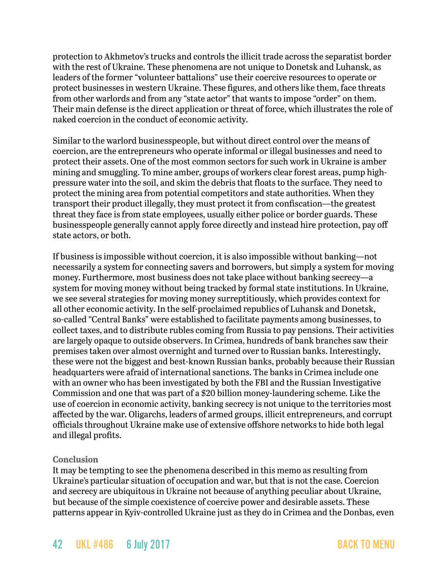protection to Akhmetov's trucks and controls the illicit trade across the separatist border with the rest of Ukraine. These phenomena are not unique to Donetsk and Luhansk, as leaders of the former "volunteer battalions" use their coercive resources to operate or protect businesses in western Ukraine. These figures, and others like them, face threats from other warlords and from any "state actor" that wants to impose "order" on them. Their main defense is the direct application or threat of force, which illustrates the role of naked coercion in the conduct of economic activity.

Similar to the warlord businesspeople, but without direct control over the means of coercion, are the entrepreneurs who operate informal or illegal businesses and need to protect their assets. One of the most common sectors for such work in Ukraine is amber mining and smuggling. To mine amber, groups of workers clear forest areas, pump highpressure water into the soil, and skim the debris that floats to the surface. They need to protect the mining area from potential competitors and state authorities. When they transport their product illegally, they must protect it from confiscation—the greatest threat they face is from state employees, usually either police or border guards. These businesspeople generally cannot apply force directly and instead hire protection, pay off state actors, or both.

If business is impossible without coercion, it is also impossible without banking—not necessarily a system for connecting savers and borrowers, but simply a system for moving money. Furthermore, most business does not take place without banking secrecy—a system for moving money without being tracked by formal state institutions. In Ukraine, we see several strategies for moving money surreptitiously, which provides context for all other economic activity. In the self-proclaimed republics of Luhansk and Donetsk, so-called "Central Banks" were established to facilitate payments among businesses, to collect taxes, and to distribute rubles coming from Russia to pay pensions. Their activities are largely opaque to outside observers. In Crimea, hundreds of bank branches saw their premises taken over almost overnight and turned over to Russian banks. Interestingly, these were not the biggest and best-known Russian banks, probably because their Russian headquarters were afraid of international sanctions. The banks in Crimea include one with an owner who has been investigated by both the FBI and the Russian Investigative Commission and one that was part of a \$20 billion money-laundering scheme. Like the use of coercion in economic activity, banking secrecy is not unique to the territories most affected by the war. Oligarchs, leaders of armed groups, illicit entrepreneurs, and corrupt officials throughout Ukraine make use of extensive offshore networks to hide both legal and illegal profits.

#### **Conclusion**

It may be tempting to see the phenomena described in this memo as resulting from Ukraine's particular situation of occupation and war, but that is not the case. Coercion and secrecy are ubiquitous in Ukraine not because of anything peculiar about Ukraine, but because of the simple coexistence of coercive power and desirable assets. These patterns appear in Kyiv-controlled Ukraine just as they do in Crimea and the Donbas, even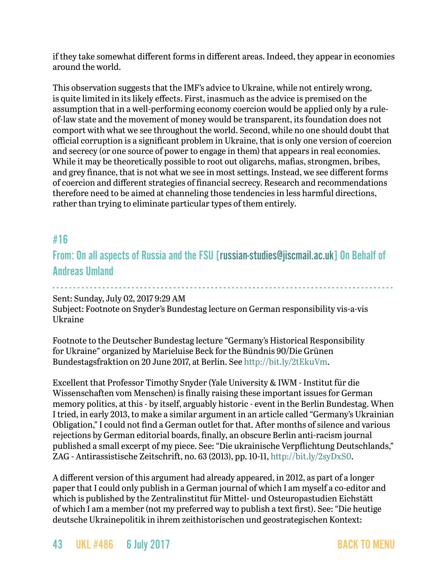if they take somewhat different forms in different areas. Indeed, they appear in economies around the world.

This observation suggests that the IMF's advice to Ukraine, while not entirely wrong, is quite limited in its likely effects. First, inasmuch as the advice is premised on the assumption that in a well-performing economy coercion would be applied only by a ruleof-law state and the movement of money would be transparent, its foundation does not comport with what we see throughout the world. Second, while no one should doubt that official corruption is a significant problem in Ukraine, that is only one version of coercion and secrecy (or one source of power to engage in them) that appears in real economies. While it may be theoretically possible to root out oligarchs, mafias, strongmen, bribes, and grey finance, that is not what we see in most settings. Instead, we see different forms of coercion and different strategies of financial secrecy. Research and recommendations therefore need to be aimed at channeling those tendencies in less harmful directions, rather than trying to eliminate particular types of them entirely.

### <span id="page-42-0"></span>#16

From: On all aspects of Russia and the FSU [[russian-studies@jiscmail.ac.uk](http://russian-studies@jiscmail.ac.uk)] On Behalf of Andreas Umland

- - - - - - - - - - - - - - - - - - - - - - - - - - - - - - - - - - - - - - - - - - - - - - - - - - - - - - - - - - - - - - - - - - - - - - - - - - - - - - - - - - Sent: Sunday, July 02, 2017 9:29 AM Subject: Footnote on Snyder's Bundestag lecture on German responsibility vis-a-vis

Ukraine

Footnote to the Deutscher Bundestag lecture "Germany's Historical Responsibility for Ukraine" organized by Marieluise Beck for the Bündnis 90/Die Grünen Bundestagsfraktion on 20 June 2017, at Berlin. See [http://bit.ly/2tEkuVm.](http://bit.ly/2tEkuVm)

Excellent that Professor Timothy Snyder (Yale University & IWM - Institut für die Wissenschaften vom Menschen) is finally raising these important issues for German memory politics, at this - by itself, arguably historic - event in the Berlin Bundestag. When I tried, in early 2013, to make a similar argument in an article called "Germany's Ukrainian Obligation," I could not find a German outlet for that. After months of silence and various rejections by German editorial boards, finally, an obscure Berlin anti-racism journal published a small excerpt of my piece. See: "Die ukrainische Verpflichtung Deutschlands," ZAG - Antirassistische Zeitschrift, no. 63 (2013), pp. 10-11,<http://bit.ly/2syDxS0>.

A different version of this argument had already appeared, in 2012, as part of a longer paper that I could only publish in a German journal of which I am myself a co-editor and which is published by the Zentralinstitut für Mittel- und Osteuropastudien Eichstätt of which I am a member (not my preferred way to publish a text first). See: "Die heutige deutsche Ukrainepolitik in ihrem zeithistorischen und geostrategischen Kontext: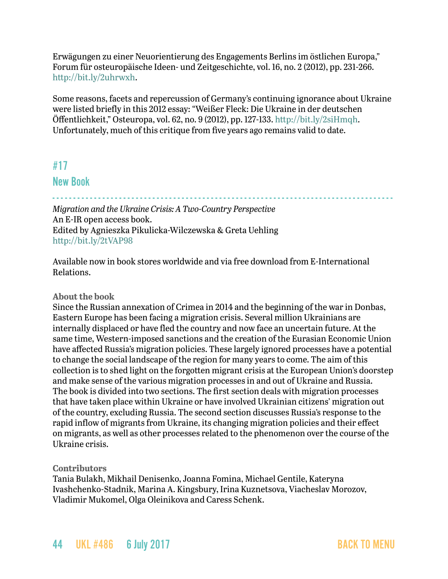Erwägungen zu einer Neuorientierung des Engagements Berlins im östlichen Europa," Forum für osteuropäische Ideen- und Zeitgeschichte, vol. 16, no. 2 (2012), pp. 231-266. [http://bit.ly/2uhrwxh.](http://bit.ly/2uhrwxh)

Some reasons, facets and repercussion of Germany's continuing ignorance about Ukraine were listed briefly in this 2012 essay: "Weißer Fleck: Die Ukraine in der deutschen Öffentlichkeit," Osteuropa, vol. 62, no. 9 (2012), pp. 127-133. [http://bit.ly/2siHmqh.](http://bit.ly/2siHmqh) Unfortunately, much of this critique from five years ago remains valid to date.

### <span id="page-43-0"></span>#17

### New Book

- - - - - - - - - - - - - - - - - - - - - - - - - - - - - - - - - - - - - - - - - - - - - - - - - - - - - - - - - - - - - - - - - - - - - - - - - - - - - - - - - -

*Migration and the Ukraine Crisis: A Two-Country Perspective* An E-IR open access book. Edited by Agnieszka Pikulicka-Wilczewska & Greta Uehling <http://bit.ly/2tVAP98>

Available now in book stores worldwide and via free download from E-International Relations.

### **About the book**

Since the Russian annexation of Crimea in 2014 and the beginning of the war in Donbas, Eastern Europe has been facing a migration crisis. Several million Ukrainians are internally displaced or have fled the country and now face an uncertain future. At the same time, Western-imposed sanctions and the creation of the Eurasian Economic Union have affected Russia's migration policies. These largely ignored processes have a potential to change the social landscape of the region for many years to come. The aim of this collection is to shed light on the forgotten migrant crisis at the European Union's doorstep and make sense of the various migration processes in and out of Ukraine and Russia. The book is divided into two sections. The first section deals with migration processes that have taken place within Ukraine or have involved Ukrainian citizens' migration out of the country, excluding Russia. The second section discusses Russia's response to the rapid inflow of migrants from Ukraine, its changing migration policies and their effect on migrants, as well as other processes related to the phenomenon over the course of the Ukraine crisis.

### **Contributors**

Tania Bulakh, Mikhail Denisenko, Joanna Fomina, Michael Gentile, Kateryna Ivashchenko-Stadnik, Marina A. Kingsbury, Irina Kuznetsova, Viacheslav Morozov, Vladimir Mukomel, Olga Oleinikova and Caress Schenk.